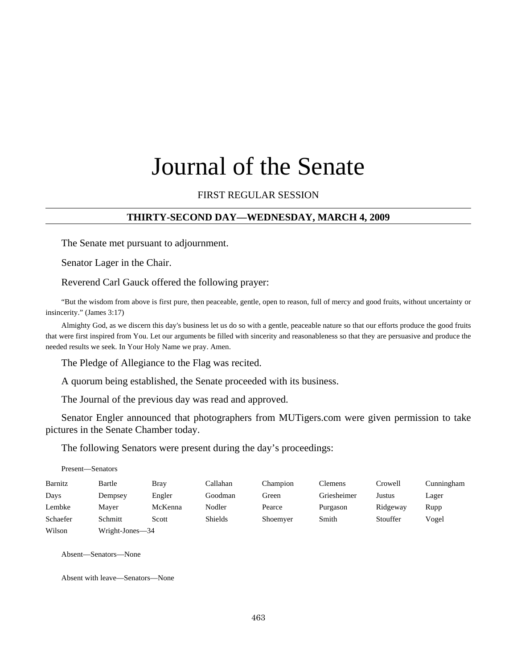# Journal of the Senate

# FIRST REGULAR SESSION

#### **THIRTY-SECOND DAY—WEDNESDAY, MARCH 4, 2009**

The Senate met pursuant to adjournment.

Senator Lager in the Chair.

Reverend Carl Gauck offered the following prayer:

"But the wisdom from above is first pure, then peaceable, gentle, open to reason, full of mercy and good fruits, without uncertainty or insincerity." (James 3:17)

Almighty God, as we discern this day's business let us do so with a gentle, peaceable nature so that our efforts produce the good fruits that were first inspired from You. Let our arguments be filled with sincerity and reasonableness so that they are persuasive and produce the needed results we seek. In Your Holy Name we pray. Amen.

The Pledge of Allegiance to the Flag was recited.

A quorum being established, the Senate proceeded with its business.

The Journal of the previous day was read and approved.

Senator Engler announced that photographers from MUTigers.com were given permission to take pictures in the Senate Chamber today.

The following Senators were present during the day's proceedings:

| Barnitz  | Bartle          | Bray    | Callahan       | Champion | Clemens     | Crowell  | Cunningham |
|----------|-----------------|---------|----------------|----------|-------------|----------|------------|
| Days     | Dempsey         | Engler  | Goodman        | Green    | Griesheimer | Justus   | Lager      |
| Lembke   | Mayer           | McKenna | Nodler         | Pearce   | Purgason    | Ridgeway | Rupp       |
| Schaefer | Schmitt         | Scott   | <b>Shields</b> | Shoemyer | Smith       | Stouffer | Vogel      |
| Wilson   | Wright-Jones-34 |         |                |          |             |          |            |

Absent—Senators—None

Present—Senators

Absent with leave—Senators—None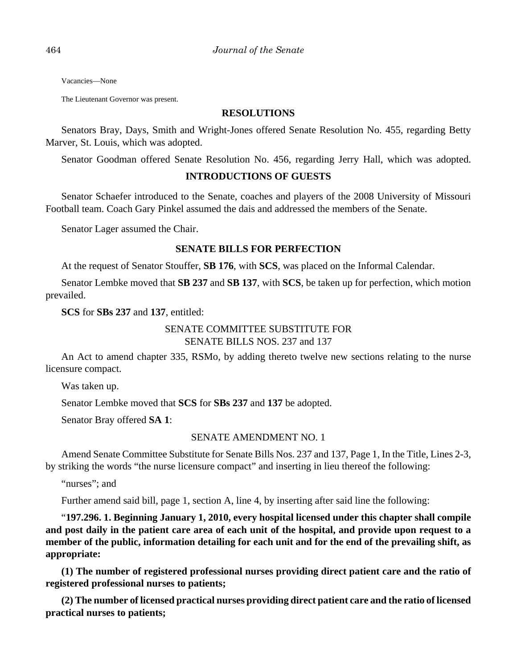Vacancies—None

The Lieutenant Governor was present.

#### **RESOLUTIONS**

Senators Bray, Days, Smith and Wright-Jones offered Senate Resolution No. 455, regarding Betty Marver, St. Louis, which was adopted.

Senator Goodman offered Senate Resolution No. 456, regarding Jerry Hall, which was adopted.

# **INTRODUCTIONS OF GUESTS**

Senator Schaefer introduced to the Senate, coaches and players of the 2008 University of Missouri Football team. Coach Gary Pinkel assumed the dais and addressed the members of the Senate.

Senator Lager assumed the Chair.

# **SENATE BILLS FOR PERFECTION**

At the request of Senator Stouffer, **SB 176**, with **SCS**, was placed on the Informal Calendar.

Senator Lembke moved that **SB 237** and **SB 137**, with **SCS**, be taken up for perfection, which motion prevailed.

**SCS** for **SBs 237** and **137**, entitled:

# SENATE COMMITTEE SUBSTITUTE FOR SENATE BILLS NOS. 237 and 137

An Act to amend chapter 335, RSMo, by adding thereto twelve new sections relating to the nurse licensure compact.

Was taken up.

Senator Lembke moved that **SCS** for **SBs 237** and **137** be adopted.

Senator Bray offered **SA 1**:

# SENATE AMENDMENT NO. 1

Amend Senate Committee Substitute for Senate Bills Nos. 237 and 137, Page 1, In the Title, Lines 2-3, by striking the words "the nurse licensure compact" and inserting in lieu thereof the following:

"nurses"; and

Further amend said bill, page 1, section A, line 4, by inserting after said line the following:

"**197.296. 1. Beginning January 1, 2010, every hospital licensed under this chapter shall compile and post daily in the patient care area of each unit of the hospital, and provide upon request to a member of the public, information detailing for each unit and for the end of the prevailing shift, as appropriate:**

**(1) The number of registered professional nurses providing direct patient care and the ratio of registered professional nurses to patients;**

**(2) The number of licensed practical nurses providing direct patient care and the ratio of licensed practical nurses to patients;**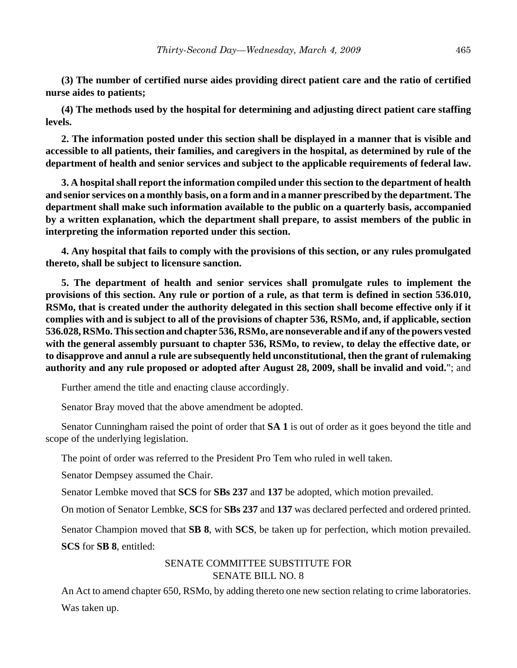**(3) The number of certified nurse aides providing direct patient care and the ratio of certified nurse aides to patients;**

**(4) The methods used by the hospital for determining and adjusting direct patient care staffing levels.**

**2. The information posted under this section shall be displayed in a manner that is visible and accessible to all patients, their families, and caregivers in the hospital, as determined by rule of the department of health and senior services and subject to the applicable requirements of federal law.**

**3. A hospital shall report the information compiled under this section to the department of health and senior services on a monthly basis, on a form and in a manner prescribed by the department. The department shall make such information available to the public on a quarterly basis, accompanied by a written explanation, which the department shall prepare, to assist members of the public in interpreting the information reported under this section.**

**4. Any hospital that fails to comply with the provisions of this section, or any rules promulgated thereto, shall be subject to licensure sanction.**

**5. The department of health and senior services shall promulgate rules to implement the provisions of this section. Any rule or portion of a rule, as that term is defined in section 536.010, RSMo, that is created under the authority delegated in this section shall become effective only if it complies with and is subject to all of the provisions of chapter 536, RSMo, and, if applicable, section 536.028, RSMo. This section and chapter 536, RSMo, are nonseverable and if any of the powers vested with the general assembly pursuant to chapter 536, RSMo, to review, to delay the effective date, or to disapprove and annul a rule are subsequently held unconstitutional, then the grant of rulemaking authority and any rule proposed or adopted after August 28, 2009, shall be invalid and void.**"; and

Further amend the title and enacting clause accordingly.

Senator Bray moved that the above amendment be adopted.

Senator Cunningham raised the point of order that **SA 1** is out of order as it goes beyond the title and scope of the underlying legislation.

The point of order was referred to the President Pro Tem who ruled in well taken.

Senator Dempsey assumed the Chair.

Senator Lembke moved that **SCS** for **SBs 237** and **137** be adopted, which motion prevailed.

On motion of Senator Lembke, **SCS** for **SBs 237** and **137** was declared perfected and ordered printed.

Senator Champion moved that **SB 8**, with **SCS**, be taken up for perfection, which motion prevailed.

**SCS** for **SB 8**, entitled:

# SENATE COMMITTEE SUBSTITUTE FOR SENATE BILL NO. 8

An Act to amend chapter 650, RSMo, by adding thereto one new section relating to crime laboratories. Was taken up.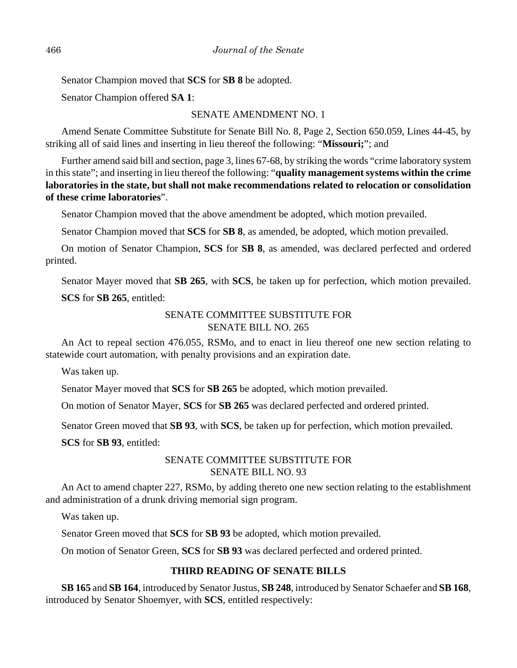Senator Champion moved that **SCS** for **SB 8** be adopted.

Senator Champion offered **SA 1**:

# SENATE AMENDMENT NO. 1

Amend Senate Committee Substitute for Senate Bill No. 8, Page 2, Section 650.059, Lines 44-45, by striking all of said lines and inserting in lieu thereof the following: "**Missouri;**"; and

Further amend said bill and section, page 3, lines 67-68, by striking the words "crime laboratory system in this state"; and inserting in lieu thereof the following: "**quality management systems within the crime laboratories in the state, but shall not make recommendations related to relocation or consolidation of these crime laboratories**".

Senator Champion moved that the above amendment be adopted, which motion prevailed.

Senator Champion moved that **SCS** for **SB 8**, as amended, be adopted, which motion prevailed.

On motion of Senator Champion, **SCS** for **SB 8**, as amended, was declared perfected and ordered printed.

Senator Mayer moved that **SB 265**, with **SCS**, be taken up for perfection, which motion prevailed.

# **SCS** for **SB 265**, entitled:

# SENATE COMMITTEE SUBSTITUTE FOR SENATE BILL NO. 265

An Act to repeal section 476.055, RSMo, and to enact in lieu thereof one new section relating to statewide court automation, with penalty provisions and an expiration date.

Was taken up.

Senator Mayer moved that **SCS** for **SB 265** be adopted, which motion prevailed.

On motion of Senator Mayer, **SCS** for **SB 265** was declared perfected and ordered printed.

Senator Green moved that **SB 93**, with **SCS**, be taken up for perfection, which motion prevailed.

**SCS** for **SB 93**, entitled:

# SENATE COMMITTEE SUBSTITUTE FOR SENATE BILL NO. 93

An Act to amend chapter 227, RSMo, by adding thereto one new section relating to the establishment and administration of a drunk driving memorial sign program.

Was taken up.

Senator Green moved that **SCS** for **SB 93** be adopted, which motion prevailed.

On motion of Senator Green, **SCS** for **SB 93** was declared perfected and ordered printed.

# **THIRD READING OF SENATE BILLS**

**SB 165** and **SB 164**, introduced by Senator Justus, **SB 248**, introduced by Senator Schaefer and **SB 168**, introduced by Senator Shoemyer, with **SCS**, entitled respectively: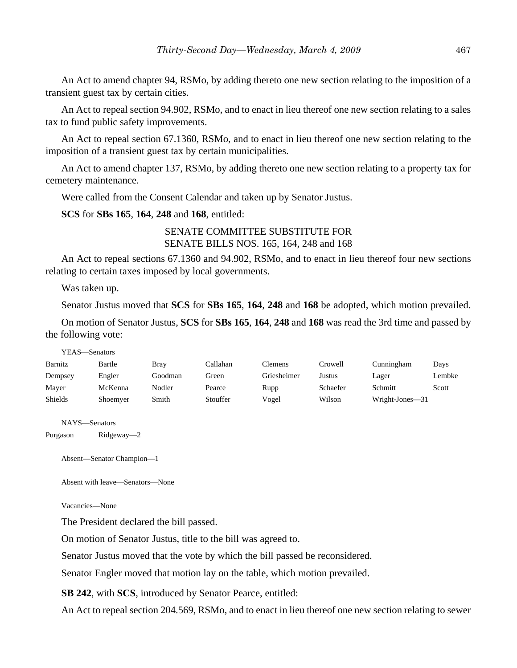An Act to amend chapter 94, RSMo, by adding thereto one new section relating to the imposition of a transient guest tax by certain cities.

An Act to repeal section 94.902, RSMo, and to enact in lieu thereof one new section relating to a sales tax to fund public safety improvements.

An Act to repeal section 67.1360, RSMo, and to enact in lieu thereof one new section relating to the imposition of a transient guest tax by certain municipalities.

An Act to amend chapter 137, RSMo, by adding thereto one new section relating to a property tax for cemetery maintenance.

Were called from the Consent Calendar and taken up by Senator Justus.

**SCS** for **SBs 165**, **164**, **248** and **168**, entitled:

# SENATE COMMITTEE SUBSTITUTE FOR SENATE BILLS NOS. 165, 164, 248 and 168

An Act to repeal sections 67.1360 and 94.902, RSMo, and to enact in lieu thereof four new sections relating to certain taxes imposed by local governments.

Was taken up.

Senator Justus moved that **SCS** for **SBs 165**, **164**, **248** and **168** be adopted, which motion prevailed.

On motion of Senator Justus, **SCS** for **SBs 165**, **164**, **248** and **168** was read the 3rd time and passed by the following vote:

| YEAS—Senators |          |             |          |             |          |                 |        |
|---------------|----------|-------------|----------|-------------|----------|-----------------|--------|
| Barnitz       | Bartle   | <b>Bray</b> | Callahan | Clemens     | Crowell  | Cunningham      | Days   |
| Dempsey       | Engler   | Goodman     | Green    | Griesheimer | Justus   | Lager           | Lembke |
| Mayer         | McKenna  | Nodler      | Pearce   | Rupp        | Schaefer | Schmitt         | Scott  |
| Shields       | Shoemyer | Smith       | Stouffer | Vogel       | Wilson   | Wright-Jones-31 |        |

NAYS—Senators

Purgason Ridgeway—2

Absent—Senator Champion—1

Absent with leave—Senators—None

Vacancies—None

The President declared the bill passed.

On motion of Senator Justus, title to the bill was agreed to.

Senator Justus moved that the vote by which the bill passed be reconsidered.

Senator Engler moved that motion lay on the table, which motion prevailed.

**SB 242**, with **SCS**, introduced by Senator Pearce, entitled:

An Act to repeal section 204.569, RSMo, and to enact in lieu thereof one new section relating to sewer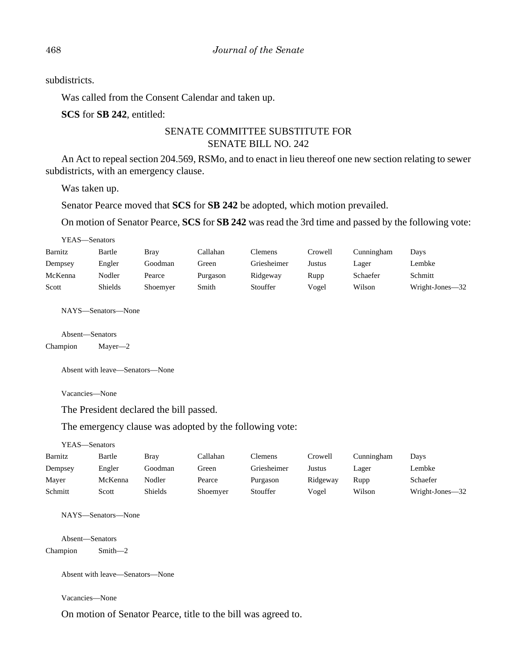subdistricts.

Was called from the Consent Calendar and taken up.

**SCS** for **SB 242**, entitled:

# SENATE COMMITTEE SUBSTITUTE FOR SENATE BILL NO. 242

An Act to repeal section 204.569, RSMo, and to enact in lieu thereof one new section relating to sewer subdistricts, with an emergency clause.

Was taken up.

Senator Pearce moved that **SCS** for **SB 242** be adopted, which motion prevailed.

On motion of Senator Pearce, **SCS** for **SB 242** was read the 3rd time and passed by the following vote:

| YEAS—Senators |                    |             |          |             |         |            |                 |
|---------------|--------------------|-------------|----------|-------------|---------|------------|-----------------|
| Barnitz       | Bartle             | <b>Bray</b> | Callahan | Clemens     | Crowell | Cunningham | Days            |
| Dempsey       | Engler             | Goodman     | Green    | Griesheimer | Justus  | Lager      | Lembke          |
| McKenna       | Nodler             | Pearce      | Purgason | Ridgeway    | Rupp    | Schaefer   | Schmitt         |
| Scott         | <b>Shields</b>     | Shoemyer    | Smith    | Stouffer    | Vogel   | Wilson     | Wright-Jones-32 |
|               | NAYS—Senators—None |             |          |             |         |            |                 |
|               | Absent—Senators    |             |          |             |         |            |                 |

Champion Mayer—2

Absent with leave—Senators—None

Vacancies—None

The President declared the bill passed.

The emergency clause was adopted by the following vote:

YEAS—Senators

| Barnitz | Bartle  | Bray    | Callahan | Clemens     | Crowell  | Cunningham | Days            |
|---------|---------|---------|----------|-------------|----------|------------|-----------------|
| Dempsey | Engler  | Goodman | Green    | Griesheimer | Justus   | Lager      | Lembke          |
| Mayer   | McKenna | Nodler  | Pearce   | Purgason    | Ridgeway | Rupp       | Schaefer        |
| Schmitt | Scott   | Shields | Shoemver | Stouffer    | Vogel    | Wilson     | Wright-Jones—32 |

NAYS—Senators—None

Absent—Senators Champion Smith—2

Absent with leave—Senators—None

Vacancies—None

On motion of Senator Pearce, title to the bill was agreed to.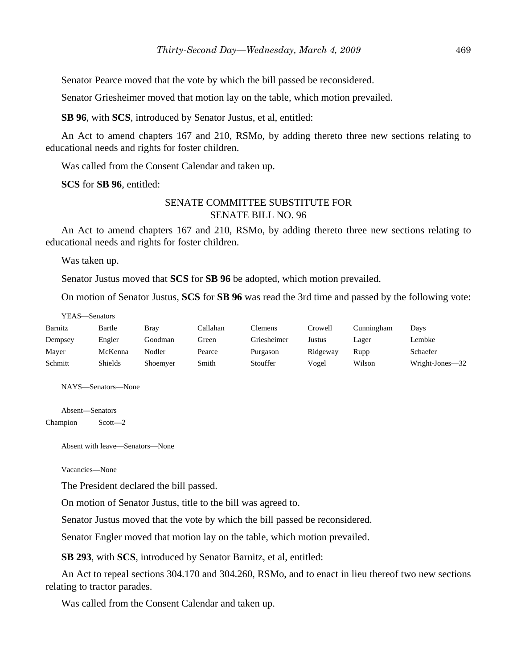Senator Pearce moved that the vote by which the bill passed be reconsidered.

Senator Griesheimer moved that motion lay on the table, which motion prevailed.

**SB 96**, with **SCS**, introduced by Senator Justus, et al, entitled:

An Act to amend chapters 167 and 210, RSMo, by adding thereto three new sections relating to educational needs and rights for foster children.

Was called from the Consent Calendar and taken up.

**SCS** for **SB 96**, entitled:

# SENATE COMMITTEE SUBSTITUTE FOR SENATE BILL NO. 96

An Act to amend chapters 167 and 210, RSMo, by adding thereto three new sections relating to educational needs and rights for foster children.

Was taken up.

Senator Justus moved that **SCS** for **SB 96** be adopted, which motion prevailed.

On motion of Senator Justus, **SCS** for **SB 96** was read the 3rd time and passed by the following vote:

YEAS—Senators

| Barnitz | Bartle  | Bray     | Callahan | Clemens     | Crowell  | Cunningham | Days            |
|---------|---------|----------|----------|-------------|----------|------------|-----------------|
| Dempsey | Engler  | Goodman  | Green    | Griesheimer | Justus   | Lager      | Lembke          |
| Mayer   | McKenna | Nodler   | Pearce   | Purgason    | Ridgeway | Rupp       | Schaefer        |
| Schmitt | Shields | Shoemver | Smith    | Stouffer    | Vogel    | Wilson     | Wright-Jones-32 |

NAYS—Senators—None

Absent—Senators Champion Scott—2

Absent with leave—Senators—None

Vacancies—None

The President declared the bill passed.

On motion of Senator Justus, title to the bill was agreed to.

Senator Justus moved that the vote by which the bill passed be reconsidered.

Senator Engler moved that motion lay on the table, which motion prevailed.

**SB 293**, with **SCS**, introduced by Senator Barnitz, et al, entitled:

An Act to repeal sections 304.170 and 304.260, RSMo, and to enact in lieu thereof two new sections relating to tractor parades.

Was called from the Consent Calendar and taken up.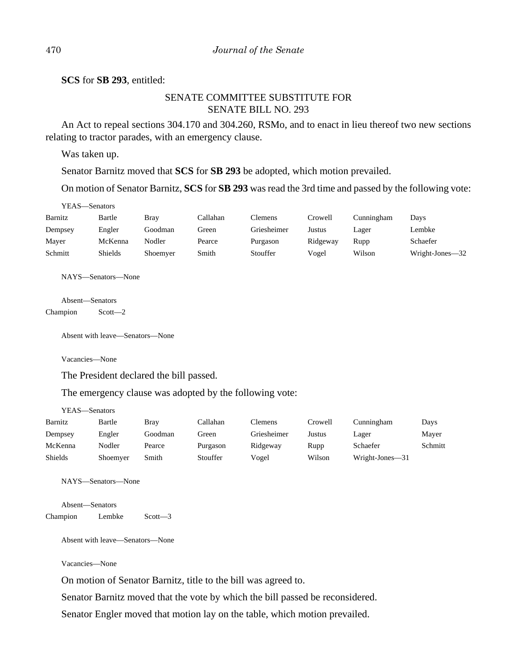**SCS** for **SB 293**, entitled:

# SENATE COMMITTEE SUBSTITUTE FOR SENATE BILL NO. 293

An Act to repeal sections 304.170 and 304.260, RSMo, and to enact in lieu thereof two new sections relating to tractor parades, with an emergency clause.

Was taken up.

Senator Barnitz moved that **SCS** for **SB 293** be adopted, which motion prevailed.

On motion of Senator Barnitz, **SCS** for **SB 293** was read the 3rd time and passed by the following vote:

| YEAS—Senators |         |             |          |             |          |            |                 |
|---------------|---------|-------------|----------|-------------|----------|------------|-----------------|
| Barnitz       | Bartle  | <b>Bray</b> | Callahan | Clemens     | Crowell  | Cunningham | Days            |
| Dempsey       | Engler  | Goodman     | Green    | Griesheimer | Justus   | Lager      | Lembke          |
| Mayer         | McKenna | Nodler      | Pearce   | Purgason    | Ridgeway | Rupp       | Schaefer        |
| Schmitt       | Shields | Shoemyer    | Smith    | Stouffer    | Vogel    | Wilson     | Wright-Jones-32 |

NAYS—Senators—None

Absent—Senators Champion Scott—2

Absent with leave—Senators—None

Vacancies—None

The President declared the bill passed.

The emergency clause was adopted by the following vote:

YEAS—Senators

| Barnitz        | Bartle   | Bray    | Callahan | Clemens     | Crowell | Cunningham      | Days    |
|----------------|----------|---------|----------|-------------|---------|-----------------|---------|
| Dempsey        | Engler   | Goodman | Green    | Griesheimer | Justus  | Lager           | Mayer   |
| McKenna        | Nodler   | Pearce  | Purgason | Ridgeway    | Rupp    | Schaefer        | Schmitt |
| <b>Shields</b> | Shoemyer | Smith   | Stouffer | Vogel       | Wilson  | Wright-Jones-31 |         |

NAYS—Senators—None

Absent—Senators Champion Lembke Scott—3

Absent with leave—Senators—None

Vacancies—None

On motion of Senator Barnitz, title to the bill was agreed to.

Senator Barnitz moved that the vote by which the bill passed be reconsidered.

Senator Engler moved that motion lay on the table, which motion prevailed.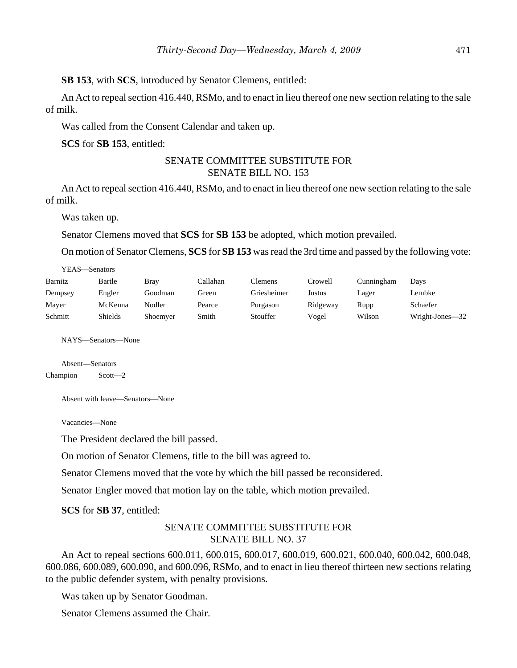**SB 153**, with **SCS**, introduced by Senator Clemens, entitled:

An Act to repeal section 416.440, RSMo, and to enact in lieu thereof one new section relating to the sale of milk.

Was called from the Consent Calendar and taken up.

**SCS** for **SB 153**, entitled:

# SENATE COMMITTEE SUBSTITUTE FOR SENATE BILL NO. 153

An Act to repeal section 416.440, RSMo, and to enact in lieu thereof one new section relating to the sale of milk.

Was taken up.

 $\overline{y}$ 

Senator Clemens moved that **SCS** for **SB 153** be adopted, which motion prevailed.

On motion of Senator Clemens, **SCS** for **SB 153** was read the 3rd time and passed by the following vote:

| YEAS—Senators |         |          |          |             |          |            |                 |
|---------------|---------|----------|----------|-------------|----------|------------|-----------------|
| Barnitz       | Bartle  | Bray     | Callahan | Clemens     | Crowell  | Cunningham | Days            |
| Dempsey       | Engler  | Goodman  | Green    | Griesheimer | Justus   | Lager      | Lembke          |
| Mayer         | McKenna | Nodler   | Pearce   | Purgason    | Ridgeway | Rupp       | Schaefer        |
| Schmitt       | Shields | Shoemyer | Smith    | Stouffer    | Vogel    | Wilson     | Wright-Jones-32 |

NAYS—Senators—None

Absent—Senators Champion Scott—2

Absent with leave—Senators—None

Vacancies—None

The President declared the bill passed.

On motion of Senator Clemens, title to the bill was agreed to.

Senator Clemens moved that the vote by which the bill passed be reconsidered.

Senator Engler moved that motion lay on the table, which motion prevailed.

**SCS** for **SB 37**, entitled:

# SENATE COMMITTEE SUBSTITUTE FOR SENATE BILL NO. 37

An Act to repeal sections 600.011, 600.015, 600.017, 600.019, 600.021, 600.040, 600.042, 600.048, 600.086, 600.089, 600.090, and 600.096, RSMo, and to enact in lieu thereof thirteen new sections relating to the public defender system, with penalty provisions.

Was taken up by Senator Goodman.

Senator Clemens assumed the Chair.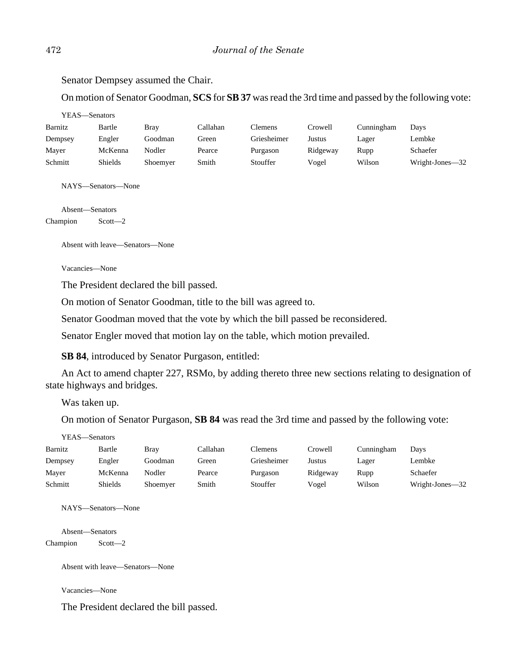Senator Dempsey assumed the Chair.

On motion of Senator Goodman, **SCS** for **SB 37** was read the 3rd time and passed by the following vote:

|          | YEAS—Senators      |             |          |                |          |            |                 |
|----------|--------------------|-------------|----------|----------------|----------|------------|-----------------|
| Barnitz  | Bartle             | <b>Bray</b> | Callahan | <b>Clemens</b> | Crowell  | Cunningham | Days            |
| Dempsey  | Engler             | Goodman     | Green    | Griesheimer    | Justus   | Lager      | Lembke          |
| Mayer    | McKenna            | Nodler      | Pearce   | Purgason       | Ridgeway | Rupp       | Schaefer        |
| Schmitt  | Shields            | Shoemyer    | Smith    | Stouffer       | Vogel    | Wilson     | Wright-Jones-32 |
|          | NAYS—Senators—None |             |          |                |          |            |                 |
|          | Absent—Senators    |             |          |                |          |            |                 |
| Champion | $Scott - 2$        |             |          |                |          |            |                 |

Absent with leave—Senators—None

Vacancies—None

The President declared the bill passed.

On motion of Senator Goodman, title to the bill was agreed to.

Senator Goodman moved that the vote by which the bill passed be reconsidered.

Senator Engler moved that motion lay on the table, which motion prevailed.

**SB 84**, introduced by Senator Purgason, entitled:

An Act to amend chapter 227, RSMo, by adding thereto three new sections relating to designation of state highways and bridges.

Was taken up.

On motion of Senator Purgason, **SB 84** was read the 3rd time and passed by the following vote:

| YEAS—Senators |                |             |          |             |          |            |                 |  |  |
|---------------|----------------|-------------|----------|-------------|----------|------------|-----------------|--|--|
| Barnitz       | Bartle         | <b>Bray</b> | Callahan | Clemens     | Crowell  | Cunningham | Days            |  |  |
| Dempsey       | Engler         | Goodman     | Green    | Griesheimer | Justus   | Lager      | Lembke          |  |  |
| Mayer         | McKenna        | Nodler      | Pearce   | Purgason    | Ridgeway | Rupp       | Schaefer        |  |  |
| Schmitt       | <b>Shields</b> | Shoemyer    | Smith    | Stouffer    | Vogel    | Wilson     | Wright-Jones-32 |  |  |

NAYS—Senators—None

Absent—Senators Champion Scott—2

Absent with leave—Senators—None

Vacancies—None

The President declared the bill passed.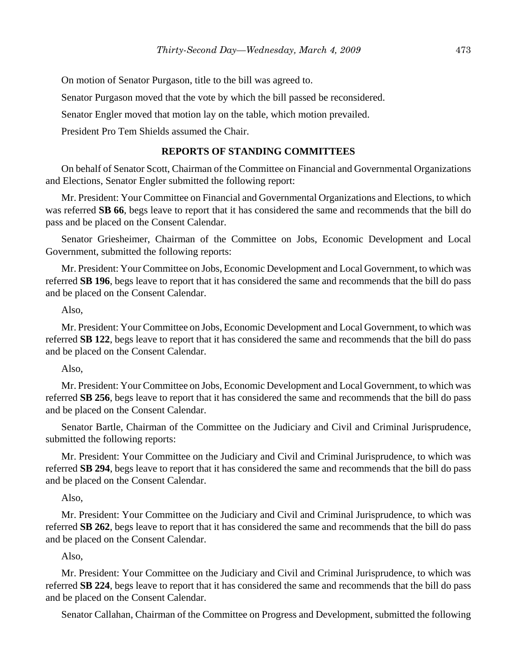On motion of Senator Purgason, title to the bill was agreed to.

Senator Purgason moved that the vote by which the bill passed be reconsidered.

Senator Engler moved that motion lay on the table, which motion prevailed.

President Pro Tem Shields assumed the Chair.

#### **REPORTS OF STANDING COMMITTEES**

On behalf of Senator Scott, Chairman of the Committee on Financial and Governmental Organizations and Elections, Senator Engler submitted the following report:

Mr. President: Your Committee on Financial and Governmental Organizations and Elections, to which was referred **SB 66**, begs leave to report that it has considered the same and recommends that the bill do pass and be placed on the Consent Calendar.

Senator Griesheimer, Chairman of the Committee on Jobs, Economic Development and Local Government, submitted the following reports:

Mr. President: Your Committee on Jobs, Economic Development and Local Government, to which was referred **SB 196**, begs leave to report that it has considered the same and recommends that the bill do pass and be placed on the Consent Calendar.

#### Also,

Mr. President: Your Committee on Jobs, Economic Development and Local Government, to which was referred **SB 122**, begs leave to report that it has considered the same and recommends that the bill do pass and be placed on the Consent Calendar.

#### Also,

Mr. President: Your Committee on Jobs, Economic Development and Local Government, to which was referred **SB 256**, begs leave to report that it has considered the same and recommends that the bill do pass and be placed on the Consent Calendar.

Senator Bartle, Chairman of the Committee on the Judiciary and Civil and Criminal Jurisprudence, submitted the following reports:

Mr. President: Your Committee on the Judiciary and Civil and Criminal Jurisprudence, to which was referred **SB 294**, begs leave to report that it has considered the same and recommends that the bill do pass and be placed on the Consent Calendar.

#### Also,

Mr. President: Your Committee on the Judiciary and Civil and Criminal Jurisprudence, to which was referred **SB 262**, begs leave to report that it has considered the same and recommends that the bill do pass and be placed on the Consent Calendar.

#### Also,

Mr. President: Your Committee on the Judiciary and Civil and Criminal Jurisprudence, to which was referred **SB 224**, begs leave to report that it has considered the same and recommends that the bill do pass and be placed on the Consent Calendar.

Senator Callahan, Chairman of the Committee on Progress and Development, submitted the following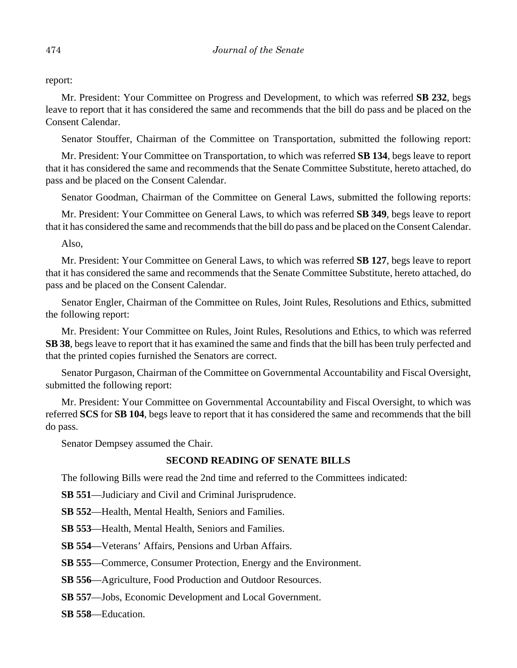report:

Mr. President: Your Committee on Progress and Development, to which was referred **SB 232**, begs leave to report that it has considered the same and recommends that the bill do pass and be placed on the Consent Calendar.

Senator Stouffer, Chairman of the Committee on Transportation, submitted the following report:

Mr. President: Your Committee on Transportation, to which was referred **SB 134**, begs leave to report that it has considered the same and recommends that the Senate Committee Substitute, hereto attached, do pass and be placed on the Consent Calendar.

Senator Goodman, Chairman of the Committee on General Laws, submitted the following reports:

Mr. President: Your Committee on General Laws, to which was referred **SB 349**, begs leave to report that it has considered the same and recommends that the bill do pass and be placed on the Consent Calendar.

Also,

Mr. President: Your Committee on General Laws, to which was referred **SB 127**, begs leave to report that it has considered the same and recommends that the Senate Committee Substitute, hereto attached, do pass and be placed on the Consent Calendar.

Senator Engler, Chairman of the Committee on Rules, Joint Rules, Resolutions and Ethics, submitted the following report:

Mr. President: Your Committee on Rules, Joint Rules, Resolutions and Ethics, to which was referred **SB 38**, begs leave to report that it has examined the same and finds that the bill has been truly perfected and that the printed copies furnished the Senators are correct.

Senator Purgason, Chairman of the Committee on Governmental Accountability and Fiscal Oversight, submitted the following report:

Mr. President: Your Committee on Governmental Accountability and Fiscal Oversight, to which was referred **SCS** for **SB 104**, begs leave to report that it has considered the same and recommends that the bill do pass.

Senator Dempsey assumed the Chair.

# **SECOND READING OF SENATE BILLS**

The following Bills were read the 2nd time and referred to the Committees indicated:

**SB 551**—Judiciary and Civil and Criminal Jurisprudence.

**SB 552**—Health, Mental Health, Seniors and Families.

**SB 553**—Health, Mental Health, Seniors and Families.

**SB 554**—Veterans' Affairs, Pensions and Urban Affairs.

**SB 555**—Commerce, Consumer Protection, Energy and the Environment.

**SB 556**—Agriculture, Food Production and Outdoor Resources.

**SB 557**—Jobs, Economic Development and Local Government.

**SB 558**—Education.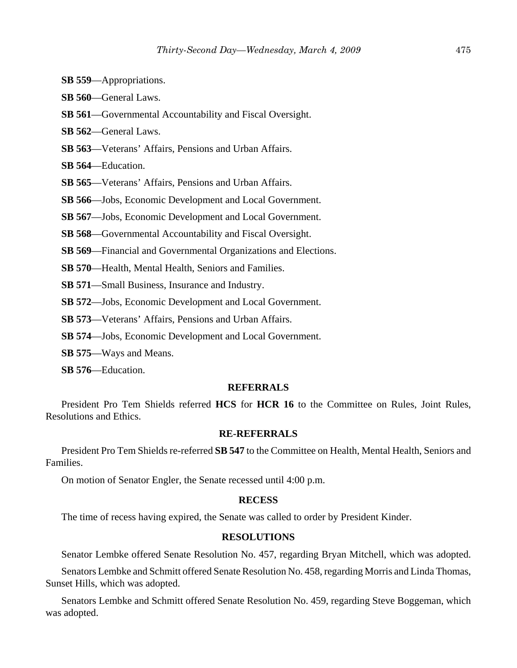- **SB 559**—Appropriations.
- **SB 560**—General Laws.
- **SB 561**—Governmental Accountability and Fiscal Oversight.
- **SB 562**—General Laws.
- **SB 563**—Veterans' Affairs, Pensions and Urban Affairs.
- **SB 564**—Education.
- **SB 565**—Veterans' Affairs, Pensions and Urban Affairs.
- **SB 566**—Jobs, Economic Development and Local Government.
- **SB 567**—Jobs, Economic Development and Local Government.
- **SB 568**—Governmental Accountability and Fiscal Oversight.
- **SB 569**—Financial and Governmental Organizations and Elections.
- **SB 570**—Health, Mental Health, Seniors and Families.
- **SB 571**—Small Business, Insurance and Industry.
- **SB 572**—Jobs, Economic Development and Local Government.
- **SB 573**—Veterans' Affairs, Pensions and Urban Affairs.
- **SB 574**—Jobs, Economic Development and Local Government.
- **SB 575**—Ways and Means.
- **SB 576**—Education.

#### **REFERRALS**

President Pro Tem Shields referred **HCS** for **HCR 16** to the Committee on Rules, Joint Rules, Resolutions and Ethics.

#### **RE-REFERRALS**

President Pro Tem Shields re-referred **SB 547** to the Committee on Health, Mental Health, Seniors and Families.

On motion of Senator Engler, the Senate recessed until 4:00 p.m.

#### **RECESS**

The time of recess having expired, the Senate was called to order by President Kinder.

#### **RESOLUTIONS**

Senator Lembke offered Senate Resolution No. 457, regarding Bryan Mitchell, which was adopted.

Senators Lembke and Schmitt offered Senate Resolution No. 458, regarding Morris and Linda Thomas, Sunset Hills, which was adopted.

Senators Lembke and Schmitt offered Senate Resolution No. 459, regarding Steve Boggeman, which was adopted.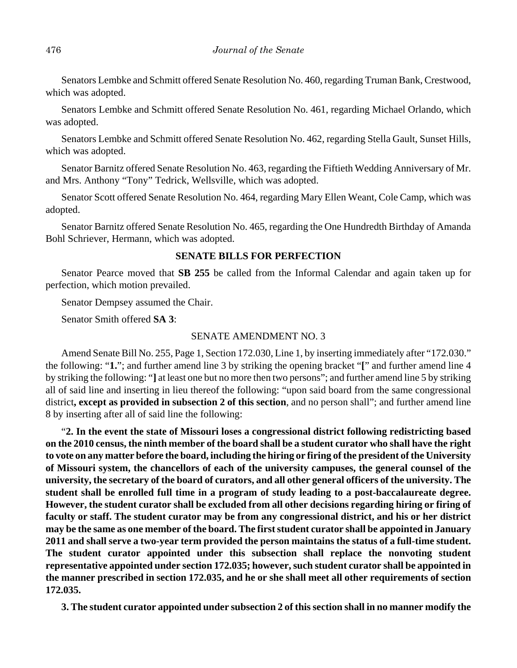Senators Lembke and Schmitt offered Senate Resolution No. 460, regarding Truman Bank, Crestwood, which was adopted.

Senators Lembke and Schmitt offered Senate Resolution No. 461, regarding Michael Orlando, which was adopted.

Senators Lembke and Schmitt offered Senate Resolution No. 462, regarding Stella Gault, Sunset Hills, which was adopted.

Senator Barnitz offered Senate Resolution No. 463, regarding the Fiftieth Wedding Anniversary of Mr. and Mrs. Anthony "Tony" Tedrick, Wellsville, which was adopted.

Senator Scott offered Senate Resolution No. 464, regarding Mary Ellen Weant, Cole Camp, which was adopted.

Senator Barnitz offered Senate Resolution No. 465, regarding the One Hundredth Birthday of Amanda Bohl Schriever, Hermann, which was adopted.

# **SENATE BILLS FOR PERFECTION**

Senator Pearce moved that **SB 255** be called from the Informal Calendar and again taken up for perfection, which motion prevailed.

Senator Dempsey assumed the Chair.

Senator Smith offered **SA 3**:

#### SENATE AMENDMENT NO. 3

Amend Senate Bill No. 255, Page 1, Section 172.030, Line 1, by inserting immediately after "172.030." the following: "**1.**"; and further amend line 3 by striking the opening bracket "**[**" and further amend line 4 by striking the following: "**]** at least one but no more then two persons"; and further amend line 5 by striking all of said line and inserting in lieu thereof the following: "upon said board from the same congressional district**, except as provided in subsection 2 of this section**, and no person shall"; and further amend line 8 by inserting after all of said line the following:

"**2. In the event the state of Missouri loses a congressional district following redistricting based on the 2010 census, the ninth member of the board shall be a student curator who shall have the right to vote on any matter before the board, including the hiring or firing of the president of the University of Missouri system, the chancellors of each of the university campuses, the general counsel of the university, the secretary of the board of curators, and all other general officers of the university. The student shall be enrolled full time in a program of study leading to a post-baccalaureate degree. However, the student curator shall be excluded from all other decisions regarding hiring or firing of faculty or staff. The student curator may be from any congressional district, and his or her district may be the same as one member of the board. The first student curator shall be appointed in January 2011 and shall serve a two-year term provided the person maintains the status of a full-time student. The student curator appointed under this subsection shall replace the nonvoting student representative appointed under section 172.035; however, such student curator shall be appointed in the manner prescribed in section 172.035, and he or she shall meet all other requirements of section 172.035.**

**3. The student curator appointed under subsection 2 of this section shall in no manner modify the**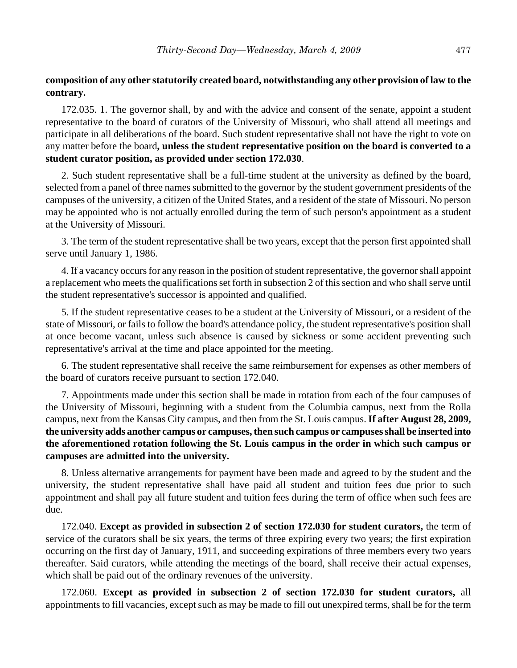# **composition of any other statutorily created board, notwithstanding any other provision of law to the contrary.**

172.035. 1. The governor shall, by and with the advice and consent of the senate, appoint a student representative to the board of curators of the University of Missouri, who shall attend all meetings and participate in all deliberations of the board. Such student representative shall not have the right to vote on any matter before the board**, unless the student representative position on the board is converted to a student curator position, as provided under section 172.030**.

2. Such student representative shall be a full-time student at the university as defined by the board, selected from a panel of three names submitted to the governor by the student government presidents of the campuses of the university, a citizen of the United States, and a resident of the state of Missouri. No person may be appointed who is not actually enrolled during the term of such person's appointment as a student at the University of Missouri.

3. The term of the student representative shall be two years, except that the person first appointed shall serve until January 1, 1986.

4. If a vacancy occurs for any reason in the position of student representative, the governor shall appoint a replacement who meets the qualifications set forth in subsection 2 of this section and who shall serve until the student representative's successor is appointed and qualified.

5. If the student representative ceases to be a student at the University of Missouri, or a resident of the state of Missouri, or fails to follow the board's attendance policy, the student representative's position shall at once become vacant, unless such absence is caused by sickness or some accident preventing such representative's arrival at the time and place appointed for the meeting.

6. The student representative shall receive the same reimbursement for expenses as other members of the board of curators receive pursuant to section 172.040.

7. Appointments made under this section shall be made in rotation from each of the four campuses of the University of Missouri, beginning with a student from the Columbia campus, next from the Rolla campus, next from the Kansas City campus, and then from the St. Louis campus. **If after August 28, 2009, the university adds another campus or campuses, then such campus or campuses shall be inserted into the aforementioned rotation following the St. Louis campus in the order in which such campus or campuses are admitted into the university.**

8. Unless alternative arrangements for payment have been made and agreed to by the student and the university, the student representative shall have paid all student and tuition fees due prior to such appointment and shall pay all future student and tuition fees during the term of office when such fees are due.

172.040. **Except as provided in subsection 2 of section 172.030 for student curators,** the term of service of the curators shall be six years, the terms of three expiring every two years; the first expiration occurring on the first day of January, 1911, and succeeding expirations of three members every two years thereafter. Said curators, while attending the meetings of the board, shall receive their actual expenses, which shall be paid out of the ordinary revenues of the university.

172.060. **Except as provided in subsection 2 of section 172.030 for student curators,** all appointments to fill vacancies, except such as may be made to fill out unexpired terms, shall be for the term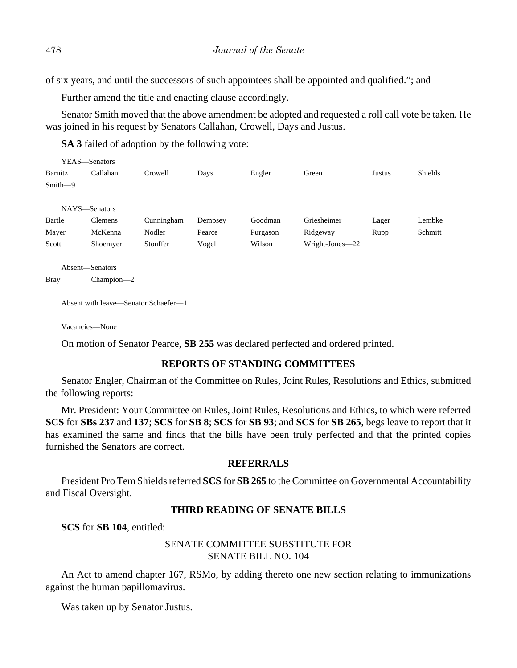of six years, and until the successors of such appointees shall be appointed and qualified."; and

Further amend the title and enacting clause accordingly.

Senator Smith moved that the above amendment be adopted and requested a roll call vote be taken. He was joined in his request by Senators Callahan, Crowell, Days and Justus.

**SA 3** failed of adoption by the following vote:

|           | YEAS—Senators  |            |         |          |                 |        |                |
|-----------|----------------|------------|---------|----------|-----------------|--------|----------------|
| Barnitz   | Callahan       | Crowell    | Days    | Engler   | Green           | Justus | <b>Shields</b> |
| $Smith-9$ |                |            |         |          |                 |        |                |
|           |                |            |         |          |                 |        |                |
|           | NAYS-Senators  |            |         |          |                 |        |                |
| Bartle    | <b>Clemens</b> | Cunningham | Dempsey | Goodman  | Griesheimer     | Lager  | Lembke         |
| Mayer     | McKenna        | Nodler     | Pearce  | Purgason | Ridgeway        | Rupp   | Schmitt        |
| Scott     | Shoemyer       | Stouffer   | Vogel   | Wilson   | Wright-Jones-22 |        |                |
|           |                |            |         |          |                 |        |                |

```
Absent—Senators
```
Bray Champion—2

Absent with leave—Senator Schaefer—1

Vacancies—None

On motion of Senator Pearce, **SB 255** was declared perfected and ordered printed.

# **REPORTS OF STANDING COMMITTEES**

Senator Engler, Chairman of the Committee on Rules, Joint Rules, Resolutions and Ethics, submitted the following reports:

Mr. President: Your Committee on Rules, Joint Rules, Resolutions and Ethics, to which were referred **SCS** for **SBs 237** and **137**; **SCS** for **SB 8**; **SCS** for **SB 93**; and **SCS** for **SB 265**, begs leave to report that it has examined the same and finds that the bills have been truly perfected and that the printed copies furnished the Senators are correct.

# **REFERRALS**

President Pro Tem Shields referred **SCS** for **SB 265** to the Committee on Governmental Accountability and Fiscal Oversight.

# **THIRD READING OF SENATE BILLS**

**SCS** for **SB 104**, entitled:

# SENATE COMMITTEE SUBSTITUTE FOR SENATE BILL NO. 104

An Act to amend chapter 167, RSMo, by adding thereto one new section relating to immunizations against the human papillomavirus.

Was taken up by Senator Justus.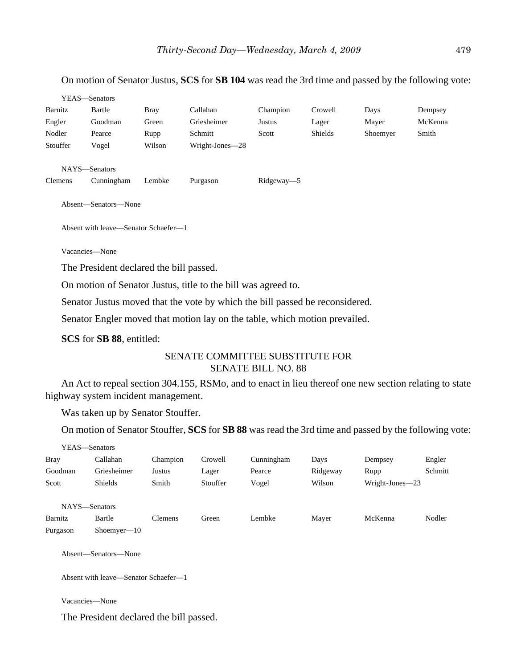On motion of Senator Justus, **SCS** for **SB 104** was read the 3rd time and passed by the following vote:

|                | YEAS—Senators        |             |                 |            |         |          |         |
|----------------|----------------------|-------------|-----------------|------------|---------|----------|---------|
| Barnitz        | Bartle               | <b>Bray</b> | Callahan        | Champion   | Crowell | Days     | Dempsey |
| Engler         | Goodman              | Green       | Griesheimer     | Justus     | Lager   | Mayer    | McKenna |
| Nodler         | Pearce               | Rupp        | Schmitt         | Scott      | Shields | Shoemyer | Smith   |
| Stouffer       | Vogel                | Wilson      | Wright-Jones-28 |            |         |          |         |
|                | NAYS-Senators        |             |                 |            |         |          |         |
| <b>Clemens</b> | Cunningham           | Lembke      | Purgason        | Ridgeway-5 |         |          |         |
|                | Absent—Senators—None |             |                 |            |         |          |         |

Absent with leave—Senator Schaefer—1

Vacancies—None

The President declared the bill passed.

On motion of Senator Justus, title to the bill was agreed to.

Senator Justus moved that the vote by which the bill passed be reconsidered.

Senator Engler moved that motion lay on the table, which motion prevailed.

**SCS** for **SB 88**, entitled:

# SENATE COMMITTEE SUBSTITUTE FOR SENATE BILL NO. 88

An Act to repeal section 304.155, RSMo, and to enact in lieu thereof one new section relating to state highway system incident management.

Was taken up by Senator Stouffer.

On motion of Senator Stouffer, **SCS** for **SB 88** was read the 3rd time and passed by the following vote:

|             | YEAS—Senators                        |                |          |            |          |                 |         |
|-------------|--------------------------------------|----------------|----------|------------|----------|-----------------|---------|
| <b>Bray</b> | Callahan                             | Champion       | Crowell  | Cunningham | Days     | Dempsey         | Engler  |
| Goodman     | Griesheimer                          | Justus         | Lager    | Pearce     | Ridgeway | Rupp            | Schmitt |
| Scott       | <b>Shields</b>                       | Smith          | Stouffer | Vogel      | Wilson   | Wright-Jones-23 |         |
|             | NAYS-Senators                        |                |          |            |          |                 |         |
| Barnitz     | Bartle                               | <b>Clemens</b> | Green    | Lembke     | Mayer    | McKenna         | Nodler  |
| Purgason    | $Shoemver-10$                        |                |          |            |          |                 |         |
|             | Absent—Senators—None                 |                |          |            |          |                 |         |
|             | Absent with leave—Senator Schaefer—1 |                |          |            |          |                 |         |

Vacancies—None

The President declared the bill passed.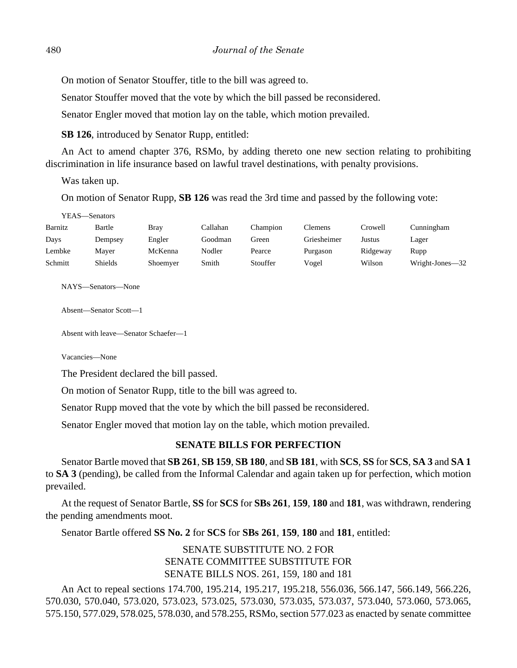On motion of Senator Stouffer, title to the bill was agreed to.

Senator Stouffer moved that the vote by which the bill passed be reconsidered.

Senator Engler moved that motion lay on the table, which motion prevailed.

**SB 126**, introduced by Senator Rupp, entitled:

An Act to amend chapter 376, RSMo, by adding thereto one new section relating to prohibiting discrimination in life insurance based on lawful travel destinations, with penalty provisions.

Was taken up.

On motion of Senator Rupp, **SB 126** was read the 3rd time and passed by the following vote:

YEAS—Senators

| Barnitz | Bartle  | Brav     | Callahan | Champion | Clemens     | Crowell  | Cunningham      |
|---------|---------|----------|----------|----------|-------------|----------|-----------------|
| Days    | Dempsey | Engler   | Goodman  | Green    | Griesheimer | Justus   | Lager           |
| Lembke  | Maver   | McKenna  | Nodler   | Pearce   | Purgason    | Ridgeway | Rupp            |
| Schmitt | Shields | Shoemyer | Smith    | Stouffer | Vogel       | Wilson   | Wright-Jones-32 |

NAYS—Senators—None

Absent—Senator Scott—1

Absent with leave—Senator Schaefer—1

Vacancies—None

The President declared the bill passed.

On motion of Senator Rupp, title to the bill was agreed to.

Senator Rupp moved that the vote by which the bill passed be reconsidered.

Senator Engler moved that motion lay on the table, which motion prevailed.

#### **SENATE BILLS FOR PERFECTION**

Senator Bartle moved that **SB 261**, **SB 159**, **SB 180**, and **SB 181**, with **SCS**, **SS** for **SCS**, **SA 3** and **SA 1** to **SA 3** (pending), be called from the Informal Calendar and again taken up for perfection, which motion prevailed.

At the request of Senator Bartle, **SS** for **SCS** for **SBs 261**, **159**, **180** and **181**, was withdrawn, rendering the pending amendments moot.

Senator Bartle offered **SS No. 2** for **SCS** for **SBs 261**, **159**, **180** and **181**, entitled:

SENATE SUBSTITUTE NO. 2 FOR SENATE COMMITTEE SUBSTITUTE FOR SENATE BILLS NOS. 261, 159, 180 and 181

An Act to repeal sections 174.700, 195.214, 195.217, 195.218, 556.036, 566.147, 566.149, 566.226, 570.030, 570.040, 573.020, 573.023, 573.025, 573.030, 573.035, 573.037, 573.040, 573.060, 573.065, 575.150, 577.029, 578.025, 578.030, and 578.255, RSMo, section 577.023 as enacted by senate committee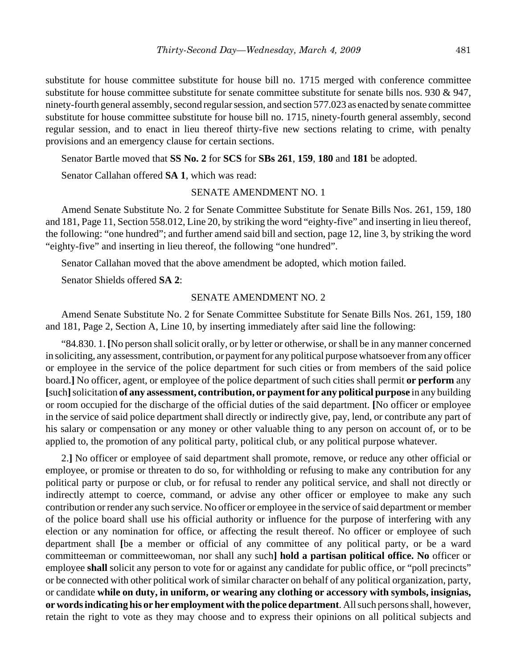substitute for house committee substitute for house bill no. 1715 merged with conference committee substitute for house committee substitute for senate committee substitute for senate bills nos. 930 & 947, ninety-fourth general assembly, second regular session, and section 577.023 as enacted by senate committee substitute for house committee substitute for house bill no. 1715, ninety-fourth general assembly, second regular session, and to enact in lieu thereof thirty-five new sections relating to crime, with penalty provisions and an emergency clause for certain sections.

Senator Bartle moved that **SS No. 2** for **SCS** for **SBs 261**, **159**, **180** and **181** be adopted.

Senator Callahan offered **SA 1**, which was read:

#### SENATE AMENDMENT NO. 1

Amend Senate Substitute No. 2 for Senate Committee Substitute for Senate Bills Nos. 261, 159, 180 and 181, Page 11, Section 558.012, Line 20, by striking the word "eighty-five" and inserting in lieu thereof, the following: "one hundred"; and further amend said bill and section, page 12, line 3, by striking the word "eighty-five" and inserting in lieu thereof, the following "one hundred".

Senator Callahan moved that the above amendment be adopted, which motion failed.

Senator Shields offered **SA 2**:

#### SENATE AMENDMENT NO. 2

Amend Senate Substitute No. 2 for Senate Committee Substitute for Senate Bills Nos. 261, 159, 180 and 181, Page 2, Section A, Line 10, by inserting immediately after said line the following:

"84.830. 1. **[**No person shall solicit orally, or by letter or otherwise, or shall be in any manner concerned in soliciting, any assessment, contribution, or payment for any political purpose whatsoever from any officer or employee in the service of the police department for such cities or from members of the said police board.**]** No officer, agent, or employee of the police department of such cities shall permit **or perform** any **[**such**]** solicitation **of any assessment, contribution, or payment for any political purpose** in any building or room occupied for the discharge of the official duties of the said department. **[**No officer or employee in the service of said police department shall directly or indirectly give, pay, lend, or contribute any part of his salary or compensation or any money or other valuable thing to any person on account of, or to be applied to, the promotion of any political party, political club, or any political purpose whatever.

2.**]** No officer or employee of said department shall promote, remove, or reduce any other official or employee, or promise or threaten to do so, for withholding or refusing to make any contribution for any political party or purpose or club, or for refusal to render any political service, and shall not directly or indirectly attempt to coerce, command, or advise any other officer or employee to make any such contribution or render any such service. No officer or employee in the service of said department or member of the police board shall use his official authority or influence for the purpose of interfering with any election or any nomination for office, or affecting the result thereof. No officer or employee of such department shall **[**be a member or official of any committee of any political party, or be a ward committeeman or committeewoman, nor shall any such**] hold a partisan political office. No** officer or employee **shall** solicit any person to vote for or against any candidate for public office, or "poll precincts" or be connected with other political work of similar character on behalf of any political organization, party, or candidate **while on duty, in uniform, or wearing any clothing or accessory with symbols, insignias, or words indicating his or her employment with the police department**. All such persons shall, however, retain the right to vote as they may choose and to express their opinions on all political subjects and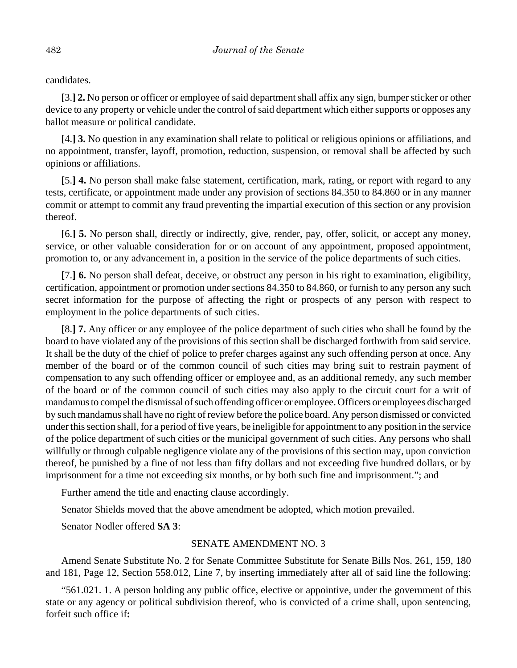candidates.

**[**3.**] 2.** No person or officer or employee of said department shall affix any sign, bumper sticker or other device to any property or vehicle under the control of said department which either supports or opposes any ballot measure or political candidate.

**[**4.**] 3.** No question in any examination shall relate to political or religious opinions or affiliations, and no appointment, transfer, layoff, promotion, reduction, suspension, or removal shall be affected by such opinions or affiliations.

**[**5.**] 4.** No person shall make false statement, certification, mark, rating, or report with regard to any tests, certificate, or appointment made under any provision of sections 84.350 to 84.860 or in any manner commit or attempt to commit any fraud preventing the impartial execution of this section or any provision thereof.

**[**6.**] 5.** No person shall, directly or indirectly, give, render, pay, offer, solicit, or accept any money, service, or other valuable consideration for or on account of any appointment, proposed appointment, promotion to, or any advancement in, a position in the service of the police departments of such cities.

**[**7.**] 6.** No person shall defeat, deceive, or obstruct any person in his right to examination, eligibility, certification, appointment or promotion under sections 84.350 to 84.860, or furnish to any person any such secret information for the purpose of affecting the right or prospects of any person with respect to employment in the police departments of such cities.

**[**8.**] 7.** Any officer or any employee of the police department of such cities who shall be found by the board to have violated any of the provisions of this section shall be discharged forthwith from said service. It shall be the duty of the chief of police to prefer charges against any such offending person at once. Any member of the board or of the common council of such cities may bring suit to restrain payment of compensation to any such offending officer or employee and, as an additional remedy, any such member of the board or of the common council of such cities may also apply to the circuit court for a writ of mandamus to compel the dismissal of such offending officer or employee. Officers or employees discharged by such mandamus shall have no right of review before the police board. Any person dismissed or convicted under this section shall, for a period of five years, be ineligible for appointment to any position in the service of the police department of such cities or the municipal government of such cities. Any persons who shall willfully or through culpable negligence violate any of the provisions of this section may, upon conviction thereof, be punished by a fine of not less than fifty dollars and not exceeding five hundred dollars, or by imprisonment for a time not exceeding six months, or by both such fine and imprisonment."; and

Further amend the title and enacting clause accordingly.

Senator Shields moved that the above amendment be adopted, which motion prevailed.

Senator Nodler offered **SA 3**:

#### SENATE AMENDMENT NO. 3

Amend Senate Substitute No. 2 for Senate Committee Substitute for Senate Bills Nos. 261, 159, 180 and 181, Page 12, Section 558.012, Line 7, by inserting immediately after all of said line the following:

"561.021. 1. A person holding any public office, elective or appointive, under the government of this state or any agency or political subdivision thereof, who is convicted of a crime shall, upon sentencing, forfeit such office if**:**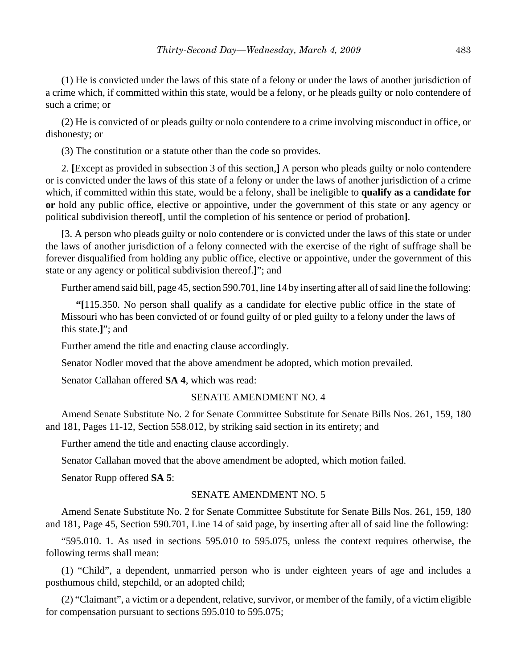(1) He is convicted under the laws of this state of a felony or under the laws of another jurisdiction of a crime which, if committed within this state, would be a felony, or he pleads guilty or nolo contendere of such a crime; or

(2) He is convicted of or pleads guilty or nolo contendere to a crime involving misconduct in office, or dishonesty; or

(3) The constitution or a statute other than the code so provides.

2. **[**Except as provided in subsection 3 of this section,**]** A person who pleads guilty or nolo contendere or is convicted under the laws of this state of a felony or under the laws of another jurisdiction of a crime which, if committed within this state, would be a felony, shall be ineligible to **qualify as a candidate for or** hold any public office, elective or appointive, under the government of this state or any agency or political subdivision thereof**[**, until the completion of his sentence or period of probation**]**.

**[**3. A person who pleads guilty or nolo contendere or is convicted under the laws of this state or under the laws of another jurisdiction of a felony connected with the exercise of the right of suffrage shall be forever disqualified from holding any public office, elective or appointive, under the government of this state or any agency or political subdivision thereof.**]**"; and

Further amend said bill, page 45, section 590.701, line 14 by inserting after all of said line the following:

**"[**115.350. No person shall qualify as a candidate for elective public office in the state of Missouri who has been convicted of or found guilty of or pled guilty to a felony under the laws of this state.**]**"; and

Further amend the title and enacting clause accordingly.

Senator Nodler moved that the above amendment be adopted, which motion prevailed.

Senator Callahan offered **SA 4**, which was read:

#### SENATE AMENDMENT NO. 4

Amend Senate Substitute No. 2 for Senate Committee Substitute for Senate Bills Nos. 261, 159, 180 and 181, Pages 11-12, Section 558.012, by striking said section in its entirety; and

Further amend the title and enacting clause accordingly.

Senator Callahan moved that the above amendment be adopted, which motion failed.

Senator Rupp offered **SA 5**:

#### SENATE AMENDMENT NO. 5

Amend Senate Substitute No. 2 for Senate Committee Substitute for Senate Bills Nos. 261, 159, 180 and 181, Page 45, Section 590.701, Line 14 of said page, by inserting after all of said line the following:

"595.010. 1. As used in sections 595.010 to 595.075, unless the context requires otherwise, the following terms shall mean:

(1) "Child", a dependent, unmarried person who is under eighteen years of age and includes a posthumous child, stepchild, or an adopted child;

(2) "Claimant", a victim or a dependent, relative, survivor, or member of the family, of a victim eligible for compensation pursuant to sections 595.010 to 595.075;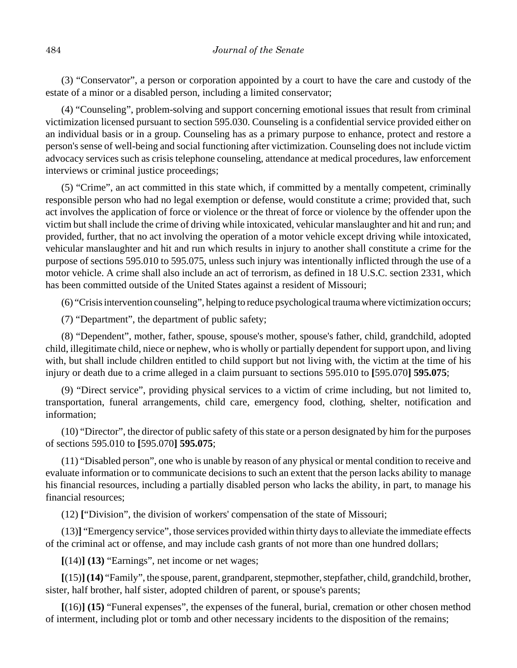(3) "Conservator", a person or corporation appointed by a court to have the care and custody of the estate of a minor or a disabled person, including a limited conservator;

(4) "Counseling", problem-solving and support concerning emotional issues that result from criminal victimization licensed pursuant to section 595.030. Counseling is a confidential service provided either on an individual basis or in a group. Counseling has as a primary purpose to enhance, protect and restore a person's sense of well-being and social functioning after victimization. Counseling does not include victim advocacy services such as crisis telephone counseling, attendance at medical procedures, law enforcement interviews or criminal justice proceedings;

(5) "Crime", an act committed in this state which, if committed by a mentally competent, criminally responsible person who had no legal exemption or defense, would constitute a crime; provided that, such act involves the application of force or violence or the threat of force or violence by the offender upon the victim but shall include the crime of driving while intoxicated, vehicular manslaughter and hit and run; and provided, further, that no act involving the operation of a motor vehicle except driving while intoxicated, vehicular manslaughter and hit and run which results in injury to another shall constitute a crime for the purpose of sections 595.010 to 595.075, unless such injury was intentionally inflicted through the use of a motor vehicle. A crime shall also include an act of terrorism, as defined in 18 U.S.C. section 2331, which has been committed outside of the United States against a resident of Missouri;

(6) "Crisis intervention counseling", helping to reduce psychological trauma where victimization occurs;

(7) "Department", the department of public safety;

(8) "Dependent", mother, father, spouse, spouse's mother, spouse's father, child, grandchild, adopted child, illegitimate child, niece or nephew, who is wholly or partially dependent for support upon, and living with, but shall include children entitled to child support but not living with, the victim at the time of his injury or death due to a crime alleged in a claim pursuant to sections 595.010 to **[**595.070**] 595.075**;

(9) "Direct service", providing physical services to a victim of crime including, but not limited to, transportation, funeral arrangements, child care, emergency food, clothing, shelter, notification and information;

(10) "Director", the director of public safety of this state or a person designated by him for the purposes of sections 595.010 to **[**595.070**] 595.075**;

(11) "Disabled person", one who is unable by reason of any physical or mental condition to receive and evaluate information or to communicate decisions to such an extent that the person lacks ability to manage his financial resources, including a partially disabled person who lacks the ability, in part, to manage his financial resources;

(12) **[**"Division", the division of workers' compensation of the state of Missouri;

(13)**]** "Emergency service", those services provided within thirty days to alleviate the immediate effects of the criminal act or offense, and may include cash grants of not more than one hundred dollars;

**[**(14)**] (13)** "Earnings", net income or net wages;

**[**(15)**](14)** "Family", the spouse, parent, grandparent, stepmother, stepfather, child, grandchild, brother, sister, half brother, half sister, adopted children of parent, or spouse's parents;

**[**(16)**] (15)** "Funeral expenses", the expenses of the funeral, burial, cremation or other chosen method of interment, including plot or tomb and other necessary incidents to the disposition of the remains;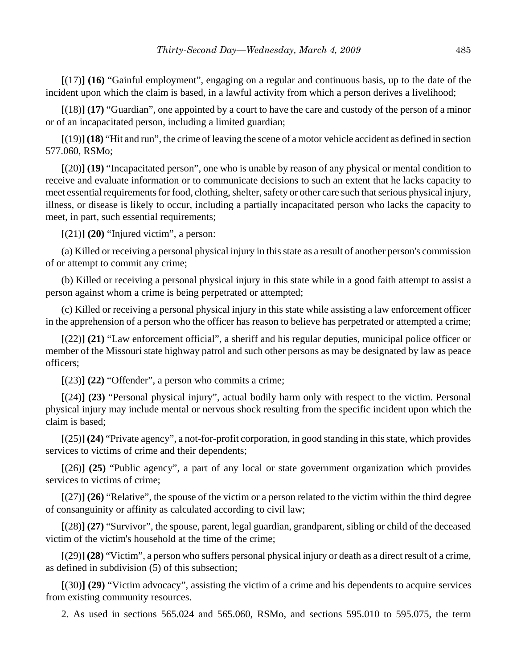**[**(17)**] (16)** "Gainful employment", engaging on a regular and continuous basis, up to the date of the incident upon which the claim is based, in a lawful activity from which a person derives a livelihood;

**[**(18)**] (17)** "Guardian", one appointed by a court to have the care and custody of the person of a minor or of an incapacitated person, including a limited guardian;

**[**(19)**] (18)** "Hit and run", the crime of leaving the scene of a motor vehicle accident as defined in section 577.060, RSMo;

**[**(20)**] (19)** "Incapacitated person", one who is unable by reason of any physical or mental condition to receive and evaluate information or to communicate decisions to such an extent that he lacks capacity to meet essential requirements for food, clothing, shelter, safety or other care such that serious physical injury, illness, or disease is likely to occur, including a partially incapacitated person who lacks the capacity to meet, in part, such essential requirements;

**[**(21)**] (20)** "Injured victim", a person:

(a) Killed or receiving a personal physical injury in this state as a result of another person's commission of or attempt to commit any crime;

(b) Killed or receiving a personal physical injury in this state while in a good faith attempt to assist a person against whom a crime is being perpetrated or attempted;

(c) Killed or receiving a personal physical injury in this state while assisting a law enforcement officer in the apprehension of a person who the officer has reason to believe has perpetrated or attempted a crime;

**[**(22)**] (21)** "Law enforcement official", a sheriff and his regular deputies, municipal police officer or member of the Missouri state highway patrol and such other persons as may be designated by law as peace officers;

**[**(23)**] (22)** "Offender", a person who commits a crime;

**[**(24)**] (23)** "Personal physical injury", actual bodily harm only with respect to the victim. Personal physical injury may include mental or nervous shock resulting from the specific incident upon which the claim is based;

**[**(25)**] (24)** "Private agency", a not-for-profit corporation, in good standing in this state, which provides services to victims of crime and their dependents;

**[**(26)**] (25)** "Public agency", a part of any local or state government organization which provides services to victims of crime;

**[**(27)**] (26)** "Relative", the spouse of the victim or a person related to the victim within the third degree of consanguinity or affinity as calculated according to civil law;

**[**(28)**] (27)** "Survivor", the spouse, parent, legal guardian, grandparent, sibling or child of the deceased victim of the victim's household at the time of the crime;

**[**(29)**] (28)** "Victim", a person who suffers personal physical injury or death as a direct result of a crime, as defined in subdivision (5) of this subsection;

**[**(30)**] (29)** "Victim advocacy", assisting the victim of a crime and his dependents to acquire services from existing community resources.

2. As used in sections 565.024 and 565.060, RSMo, and sections 595.010 to 595.075, the term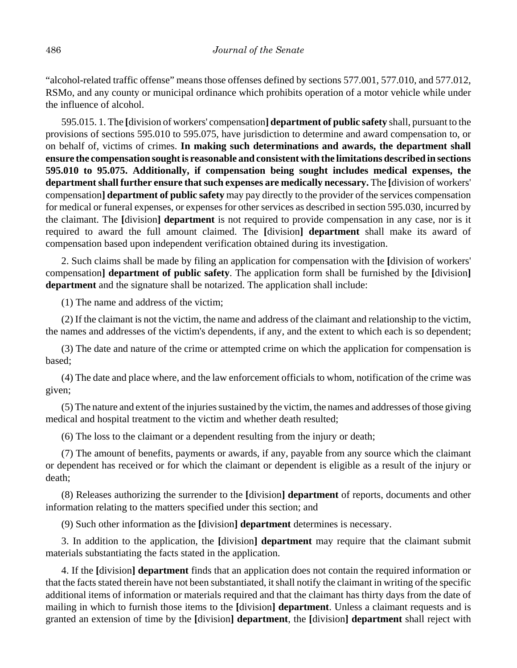"alcohol-related traffic offense" means those offenses defined by sections 577.001, 577.010, and 577.012, RSMo, and any county or municipal ordinance which prohibits operation of a motor vehicle while under the influence of alcohol.

595.015. 1. The **[**division of workers' compensation**] department of public safety** shall, pursuant to the provisions of sections 595.010 to 595.075, have jurisdiction to determine and award compensation to, or on behalf of, victims of crimes. **In making such determinations and awards, the department shall ensure the compensation sought is reasonable and consistent with the limitations described in sections 595.010 to 95.075. Additionally, if compensation being sought includes medical expenses, the department shall further ensure that such expenses are medically necessary.** The **[**division of workers' compensation**] department of public safety** may pay directly to the provider of the services compensation for medical or funeral expenses, or expenses for other services as described in section 595.030, incurred by the claimant. The **[**division**] department** is not required to provide compensation in any case, nor is it required to award the full amount claimed. The **[**division**] department** shall make its award of compensation based upon independent verification obtained during its investigation.

2. Such claims shall be made by filing an application for compensation with the **[**division of workers' compensation**] department of public safety**. The application form shall be furnished by the **[**division**] department** and the signature shall be notarized. The application shall include:

(1) The name and address of the victim;

(2) If the claimant is not the victim, the name and address of the claimant and relationship to the victim, the names and addresses of the victim's dependents, if any, and the extent to which each is so dependent;

(3) The date and nature of the crime or attempted crime on which the application for compensation is based;

(4) The date and place where, and the law enforcement officials to whom, notification of the crime was given;

(5) The nature and extent of the injuries sustained by the victim, the names and addresses of those giving medical and hospital treatment to the victim and whether death resulted;

(6) The loss to the claimant or a dependent resulting from the injury or death;

(7) The amount of benefits, payments or awards, if any, payable from any source which the claimant or dependent has received or for which the claimant or dependent is eligible as a result of the injury or death;

(8) Releases authorizing the surrender to the **[**division**] department** of reports, documents and other information relating to the matters specified under this section; and

(9) Such other information as the **[**division**] department** determines is necessary.

3. In addition to the application, the **[**division**] department** may require that the claimant submit materials substantiating the facts stated in the application.

4. If the **[**division**] department** finds that an application does not contain the required information or that the facts stated therein have not been substantiated, it shall notify the claimant in writing of the specific additional items of information or materials required and that the claimant has thirty days from the date of mailing in which to furnish those items to the **[**division**] department**. Unless a claimant requests and is granted an extension of time by the **[**division**] department**, the **[**division**] department** shall reject with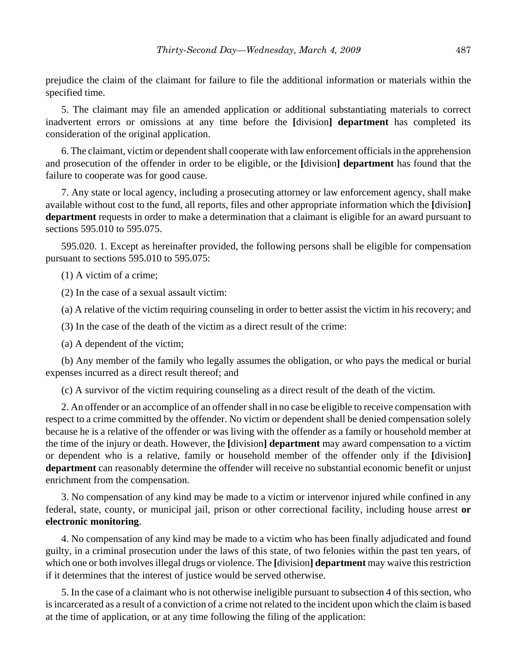prejudice the claim of the claimant for failure to file the additional information or materials within the specified time.

5. The claimant may file an amended application or additional substantiating materials to correct inadvertent errors or omissions at any time before the **[**division**] department** has completed its consideration of the original application.

6. The claimant, victim or dependent shall cooperate with law enforcement officials in the apprehension and prosecution of the offender in order to be eligible, or the **[**division**] department** has found that the failure to cooperate was for good cause.

7. Any state or local agency, including a prosecuting attorney or law enforcement agency, shall make available without cost to the fund, all reports, files and other appropriate information which the **[**division**] department** requests in order to make a determination that a claimant is eligible for an award pursuant to sections 595.010 to 595.075.

595.020. 1. Except as hereinafter provided, the following persons shall be eligible for compensation pursuant to sections 595.010 to 595.075:

(1) A victim of a crime;

(2) In the case of a sexual assault victim:

(a) A relative of the victim requiring counseling in order to better assist the victim in his recovery; and

(3) In the case of the death of the victim as a direct result of the crime:

(a) A dependent of the victim;

(b) Any member of the family who legally assumes the obligation, or who pays the medical or burial expenses incurred as a direct result thereof; and

(c) A survivor of the victim requiring counseling as a direct result of the death of the victim.

2. An offender or an accomplice of an offender shall in no case be eligible to receive compensation with respect to a crime committed by the offender. No victim or dependent shall be denied compensation solely because he is a relative of the offender or was living with the offender as a family or household member at the time of the injury or death. However, the **[**division**] department** may award compensation to a victim or dependent who is a relative, family or household member of the offender only if the **[**division**] department** can reasonably determine the offender will receive no substantial economic benefit or unjust enrichment from the compensation.

3. No compensation of any kind may be made to a victim or intervenor injured while confined in any federal, state, county, or municipal jail, prison or other correctional facility, including house arrest **or electronic monitoring**.

4. No compensation of any kind may be made to a victim who has been finally adjudicated and found guilty, in a criminal prosecution under the laws of this state, of two felonies within the past ten years, of which one or both involves illegal drugs or violence. The **[**division**] department** may waive this restriction if it determines that the interest of justice would be served otherwise.

5. In the case of a claimant who is not otherwise ineligible pursuant to subsection 4 of this section, who is incarcerated as a result of a conviction of a crime not related to the incident upon which the claim is based at the time of application, or at any time following the filing of the application: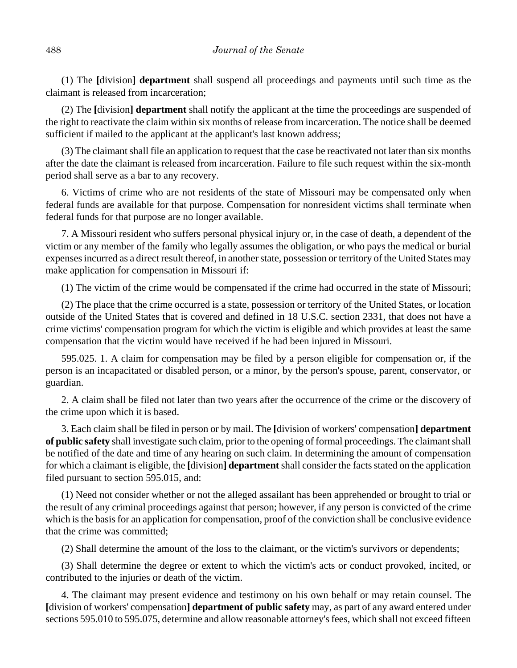(1) The **[**division**] department** shall suspend all proceedings and payments until such time as the claimant is released from incarceration;

(2) The **[**division**] department** shall notify the applicant at the time the proceedings are suspended of the right to reactivate the claim within six months of release from incarceration. The notice shall be deemed sufficient if mailed to the applicant at the applicant's last known address;

(3) The claimant shall file an application to request that the case be reactivated not later than six months after the date the claimant is released from incarceration. Failure to file such request within the six-month period shall serve as a bar to any recovery.

6. Victims of crime who are not residents of the state of Missouri may be compensated only when federal funds are available for that purpose. Compensation for nonresident victims shall terminate when federal funds for that purpose are no longer available.

7. A Missouri resident who suffers personal physical injury or, in the case of death, a dependent of the victim or any member of the family who legally assumes the obligation, or who pays the medical or burial expenses incurred as a direct result thereof, in another state, possession or territory of the United States may make application for compensation in Missouri if:

(1) The victim of the crime would be compensated if the crime had occurred in the state of Missouri;

(2) The place that the crime occurred is a state, possession or territory of the United States, or location outside of the United States that is covered and defined in 18 U.S.C. section 2331, that does not have a crime victims' compensation program for which the victim is eligible and which provides at least the same compensation that the victim would have received if he had been injured in Missouri.

595.025. 1. A claim for compensation may be filed by a person eligible for compensation or, if the person is an incapacitated or disabled person, or a minor, by the person's spouse, parent, conservator, or guardian.

2. A claim shall be filed not later than two years after the occurrence of the crime or the discovery of the crime upon which it is based.

3. Each claim shall be filed in person or by mail. The **[**division of workers' compensation**] department of public safety** shall investigate such claim, prior to the opening of formal proceedings. The claimant shall be notified of the date and time of any hearing on such claim. In determining the amount of compensation for which a claimant is eligible, the **[**division**] department** shall consider the facts stated on the application filed pursuant to section 595.015, and:

(1) Need not consider whether or not the alleged assailant has been apprehended or brought to trial or the result of any criminal proceedings against that person; however, if any person is convicted of the crime which is the basis for an application for compensation, proof of the conviction shall be conclusive evidence that the crime was committed;

(2) Shall determine the amount of the loss to the claimant, or the victim's survivors or dependents;

(3) Shall determine the degree or extent to which the victim's acts or conduct provoked, incited, or contributed to the injuries or death of the victim.

4. The claimant may present evidence and testimony on his own behalf or may retain counsel. The **[**division of workers' compensation**] department of public safety** may, as part of any award entered under sections 595.010 to 595.075, determine and allow reasonable attorney's fees, which shall not exceed fifteen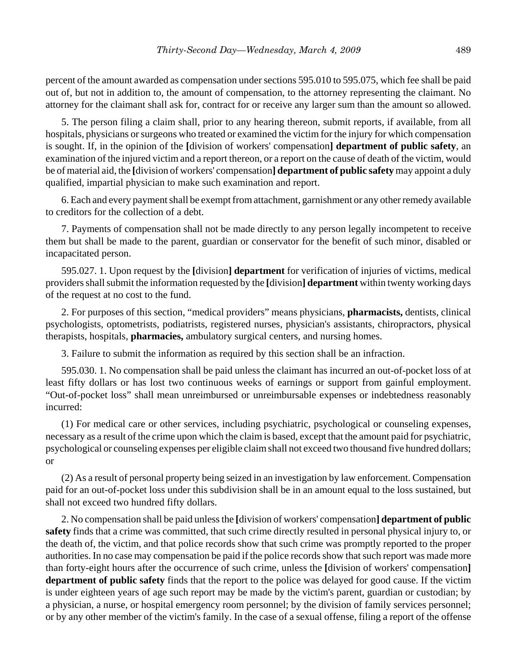percent of the amount awarded as compensation under sections 595.010 to 595.075, which fee shall be paid out of, but not in addition to, the amount of compensation, to the attorney representing the claimant. No attorney for the claimant shall ask for, contract for or receive any larger sum than the amount so allowed.

5. The person filing a claim shall, prior to any hearing thereon, submit reports, if available, from all hospitals, physicians or surgeons who treated or examined the victim for the injury for which compensation is sought. If, in the opinion of the **[**division of workers' compensation**] department of public safety**, an examination of the injured victim and a report thereon, or a report on the cause of death of the victim, would be of material aid, the **[**division of workers' compensation**] department of public safety** may appoint a duly qualified, impartial physician to make such examination and report.

6. Each and every payment shall be exempt from attachment, garnishment or any other remedy available to creditors for the collection of a debt.

7. Payments of compensation shall not be made directly to any person legally incompetent to receive them but shall be made to the parent, guardian or conservator for the benefit of such minor, disabled or incapacitated person.

595.027. 1. Upon request by the **[**division**] department** for verification of injuries of victims, medical providers shall submit the information requested by the **[**division**] department** within twenty working days of the request at no cost to the fund.

2. For purposes of this section, "medical providers" means physicians, **pharmacists,** dentists, clinical psychologists, optometrists, podiatrists, registered nurses, physician's assistants, chiropractors, physical therapists, hospitals, **pharmacies,** ambulatory surgical centers, and nursing homes.

3. Failure to submit the information as required by this section shall be an infraction.

595.030. 1. No compensation shall be paid unless the claimant has incurred an out-of-pocket loss of at least fifty dollars or has lost two continuous weeks of earnings or support from gainful employment. "Out-of-pocket loss" shall mean unreimbursed or unreimbursable expenses or indebtedness reasonably incurred:

(1) For medical care or other services, including psychiatric, psychological or counseling expenses, necessary as a result of the crime upon which the claim is based, except that the amount paid for psychiatric, psychological or counseling expenses per eligible claim shall not exceed two thousand five hundred dollars; or

(2) As a result of personal property being seized in an investigation by law enforcement. Compensation paid for an out-of-pocket loss under this subdivision shall be in an amount equal to the loss sustained, but shall not exceed two hundred fifty dollars.

2. No compensation shall be paid unless the **[**division of workers' compensation**] department of public safety** finds that a crime was committed, that such crime directly resulted in personal physical injury to, or the death of, the victim, and that police records show that such crime was promptly reported to the proper authorities. In no case may compensation be paid if the police records show that such report was made more than forty-eight hours after the occurrence of such crime, unless the **[**division of workers' compensation**] department of public safety** finds that the report to the police was delayed for good cause. If the victim is under eighteen years of age such report may be made by the victim's parent, guardian or custodian; by a physician, a nurse, or hospital emergency room personnel; by the division of family services personnel; or by any other member of the victim's family. In the case of a sexual offense, filing a report of the offense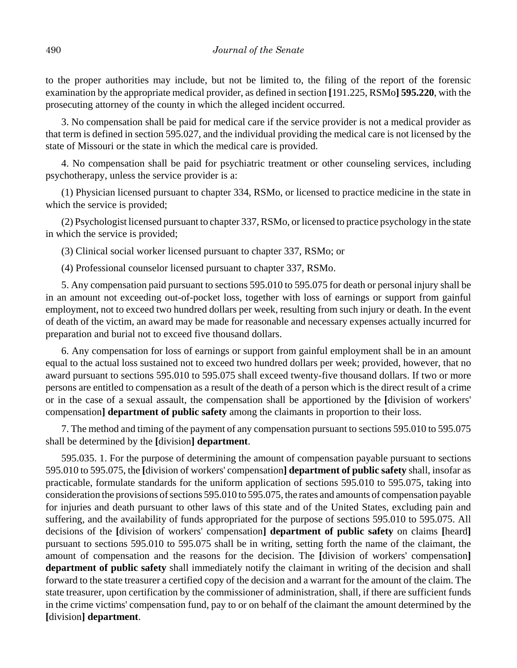to the proper authorities may include, but not be limited to, the filing of the report of the forensic examination by the appropriate medical provider, as defined in section **[**191.225, RSMo**] 595.220**, with the prosecuting attorney of the county in which the alleged incident occurred.

3. No compensation shall be paid for medical care if the service provider is not a medical provider as that term is defined in section 595.027, and the individual providing the medical care is not licensed by the state of Missouri or the state in which the medical care is provided.

4. No compensation shall be paid for psychiatric treatment or other counseling services, including psychotherapy, unless the service provider is a:

(1) Physician licensed pursuant to chapter 334, RSMo, or licensed to practice medicine in the state in which the service is provided;

(2) Psychologist licensed pursuant to chapter 337, RSMo, or licensed to practice psychology in the state in which the service is provided;

(3) Clinical social worker licensed pursuant to chapter 337, RSMo; or

(4) Professional counselor licensed pursuant to chapter 337, RSMo.

5. Any compensation paid pursuant to sections 595.010 to 595.075 for death or personal injury shall be in an amount not exceeding out-of-pocket loss, together with loss of earnings or support from gainful employment, not to exceed two hundred dollars per week, resulting from such injury or death. In the event of death of the victim, an award may be made for reasonable and necessary expenses actually incurred for preparation and burial not to exceed five thousand dollars.

6. Any compensation for loss of earnings or support from gainful employment shall be in an amount equal to the actual loss sustained not to exceed two hundred dollars per week; provided, however, that no award pursuant to sections 595.010 to 595.075 shall exceed twenty-five thousand dollars. If two or more persons are entitled to compensation as a result of the death of a person which is the direct result of a crime or in the case of a sexual assault, the compensation shall be apportioned by the **[**division of workers' compensation**] department of public safety** among the claimants in proportion to their loss.

7. The method and timing of the payment of any compensation pursuant to sections 595.010 to 595.075 shall be determined by the **[**division**] department**.

595.035. 1. For the purpose of determining the amount of compensation payable pursuant to sections 595.010 to 595.075, the **[**division of workers' compensation**] department of public safety** shall, insofar as practicable, formulate standards for the uniform application of sections 595.010 to 595.075, taking into consideration the provisions of sections 595.010 to 595.075, the rates and amounts of compensation payable for injuries and death pursuant to other laws of this state and of the United States, excluding pain and suffering, and the availability of funds appropriated for the purpose of sections 595.010 to 595.075. All decisions of the **[**division of workers' compensation**] department of public safety** on claims **[**heard**]** pursuant to sections 595.010 to 595.075 shall be in writing, setting forth the name of the claimant, the amount of compensation and the reasons for the decision. The **[**division of workers' compensation**] department of public safety** shall immediately notify the claimant in writing of the decision and shall forward to the state treasurer a certified copy of the decision and a warrant for the amount of the claim. The state treasurer, upon certification by the commissioner of administration, shall, if there are sufficient funds in the crime victims' compensation fund, pay to or on behalf of the claimant the amount determined by the **[**division**] department**.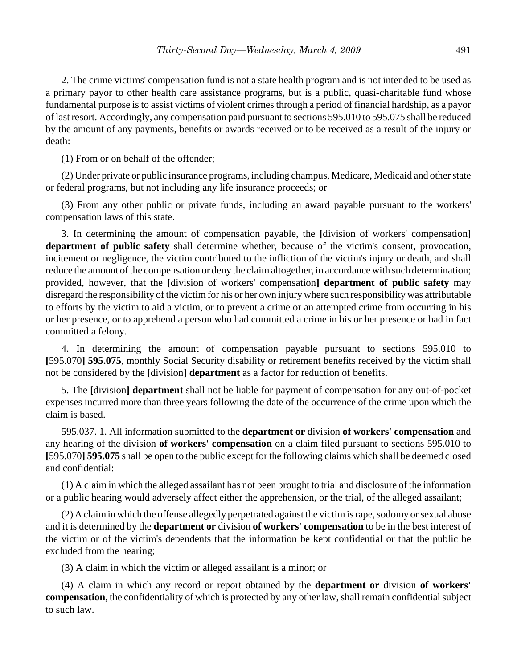2. The crime victims' compensation fund is not a state health program and is not intended to be used as a primary payor to other health care assistance programs, but is a public, quasi-charitable fund whose fundamental purpose is to assist victims of violent crimes through a period of financial hardship, as a payor of last resort. Accordingly, any compensation paid pursuant to sections 595.010 to 595.075 shall be reduced by the amount of any payments, benefits or awards received or to be received as a result of the injury or death:

(1) From or on behalf of the offender;

(2) Under private or public insurance programs, including champus, Medicare, Medicaid and other state or federal programs, but not including any life insurance proceeds; or

(3) From any other public or private funds, including an award payable pursuant to the workers' compensation laws of this state.

3. In determining the amount of compensation payable, the **[**division of workers' compensation**] department of public safety** shall determine whether, because of the victim's consent, provocation, incitement or negligence, the victim contributed to the infliction of the victim's injury or death, and shall reduce the amount of the compensation or deny the claim altogether, in accordance with such determination; provided, however, that the **[**division of workers' compensation**] department of public safety** may disregard the responsibility of the victim for his or her own injury where such responsibility was attributable to efforts by the victim to aid a victim, or to prevent a crime or an attempted crime from occurring in his or her presence, or to apprehend a person who had committed a crime in his or her presence or had in fact committed a felony.

4. In determining the amount of compensation payable pursuant to sections 595.010 to **[**595.070**] 595.075**, monthly Social Security disability or retirement benefits received by the victim shall not be considered by the **[**division**] department** as a factor for reduction of benefits.

5. The **[**division**] department** shall not be liable for payment of compensation for any out-of-pocket expenses incurred more than three years following the date of the occurrence of the crime upon which the claim is based.

595.037. 1. All information submitted to the **department or** division **of workers' compensation** and any hearing of the division **of workers' compensation** on a claim filed pursuant to sections 595.010 to **[**595.070**] 595.075** shall be open to the public except for the following claims which shall be deemed closed and confidential:

(1) A claim in which the alleged assailant has not been brought to trial and disclosure of the information or a public hearing would adversely affect either the apprehension, or the trial, of the alleged assailant;

(2) A claim in which the offense allegedly perpetrated against the victim is rape, sodomy or sexual abuse and it is determined by the **department or** division **of workers' compensation** to be in the best interest of the victim or of the victim's dependents that the information be kept confidential or that the public be excluded from the hearing;

(3) A claim in which the victim or alleged assailant is a minor; or

(4) A claim in which any record or report obtained by the **department or** division **of workers' compensation**, the confidentiality of which is protected by any other law, shall remain confidential subject to such law.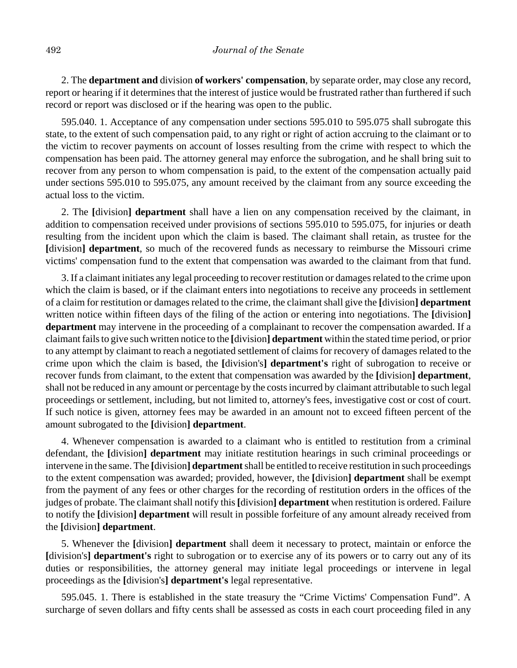2. The **department and** division **of workers' compensation**, by separate order, may close any record, report or hearing if it determines that the interest of justice would be frustrated rather than furthered if such record or report was disclosed or if the hearing was open to the public.

595.040. 1. Acceptance of any compensation under sections 595.010 to 595.075 shall subrogate this state, to the extent of such compensation paid, to any right or right of action accruing to the claimant or to the victim to recover payments on account of losses resulting from the crime with respect to which the compensation has been paid. The attorney general may enforce the subrogation, and he shall bring suit to recover from any person to whom compensation is paid, to the extent of the compensation actually paid under sections 595.010 to 595.075, any amount received by the claimant from any source exceeding the actual loss to the victim.

2. The **[**division**] department** shall have a lien on any compensation received by the claimant, in addition to compensation received under provisions of sections 595.010 to 595.075, for injuries or death resulting from the incident upon which the claim is based. The claimant shall retain, as trustee for the **[**division**] department**, so much of the recovered funds as necessary to reimburse the Missouri crime victims' compensation fund to the extent that compensation was awarded to the claimant from that fund.

3. If a claimant initiates any legal proceeding to recover restitution or damages related to the crime upon which the claim is based, or if the claimant enters into negotiations to receive any proceeds in settlement of a claim for restitution or damages related to the crime, the claimant shall give the **[**division**] department** written notice within fifteen days of the filing of the action or entering into negotiations. The **[**division**] department** may intervene in the proceeding of a complainant to recover the compensation awarded. If a claimant fails to give such written notice to the **[**division**] department** within the stated time period, or prior to any attempt by claimant to reach a negotiated settlement of claims for recovery of damages related to the crime upon which the claim is based, the **[**division's**] department's** right of subrogation to receive or recover funds from claimant, to the extent that compensation was awarded by the **[**division**] department**, shall not be reduced in any amount or percentage by the costs incurred by claimant attributable to such legal proceedings or settlement, including, but not limited to, attorney's fees, investigative cost or cost of court. If such notice is given, attorney fees may be awarded in an amount not to exceed fifteen percent of the amount subrogated to the **[**division**] department**.

4. Whenever compensation is awarded to a claimant who is entitled to restitution from a criminal defendant, the **[**division**] department** may initiate restitution hearings in such criminal proceedings or intervene in the same. The **[**division**] department** shall be entitled to receive restitution in such proceedings to the extent compensation was awarded; provided, however, the **[**division**] department** shall be exempt from the payment of any fees or other charges for the recording of restitution orders in the offices of the judges of probate. The claimant shall notify this **[**division**] department** when restitution is ordered. Failure to notify the **[**division**] department** will result in possible forfeiture of any amount already received from the **[**division**] department**.

5. Whenever the **[**division**] department** shall deem it necessary to protect, maintain or enforce the **[**division's**] department's** right to subrogation or to exercise any of its powers or to carry out any of its duties or responsibilities, the attorney general may initiate legal proceedings or intervene in legal proceedings as the **[**division's**] department's** legal representative.

595.045. 1. There is established in the state treasury the "Crime Victims' Compensation Fund". A surcharge of seven dollars and fifty cents shall be assessed as costs in each court proceeding filed in any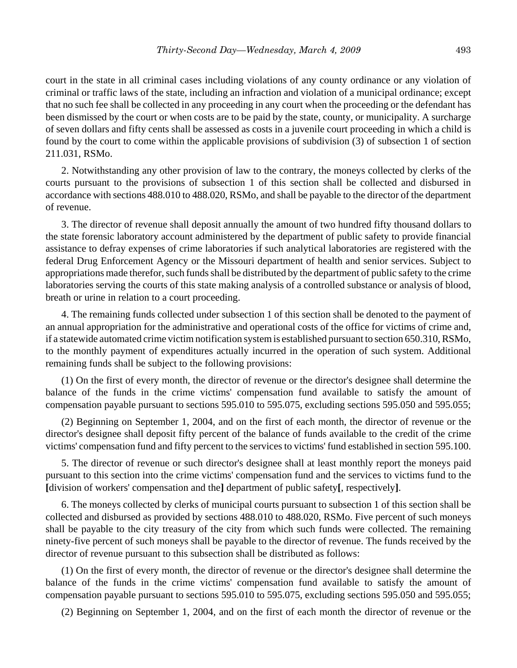court in the state in all criminal cases including violations of any county ordinance or any violation of criminal or traffic laws of the state, including an infraction and violation of a municipal ordinance; except that no such fee shall be collected in any proceeding in any court when the proceeding or the defendant has been dismissed by the court or when costs are to be paid by the state, county, or municipality. A surcharge of seven dollars and fifty cents shall be assessed as costs in a juvenile court proceeding in which a child is found by the court to come within the applicable provisions of subdivision (3) of subsection 1 of section 211.031, RSMo.

2. Notwithstanding any other provision of law to the contrary, the moneys collected by clerks of the courts pursuant to the provisions of subsection 1 of this section shall be collected and disbursed in accordance with sections 488.010 to 488.020, RSMo, and shall be payable to the director of the department of revenue.

3. The director of revenue shall deposit annually the amount of two hundred fifty thousand dollars to the state forensic laboratory account administered by the department of public safety to provide financial assistance to defray expenses of crime laboratories if such analytical laboratories are registered with the federal Drug Enforcement Agency or the Missouri department of health and senior services. Subject to appropriations made therefor, such funds shall be distributed by the department of public safety to the crime laboratories serving the courts of this state making analysis of a controlled substance or analysis of blood, breath or urine in relation to a court proceeding.

4. The remaining funds collected under subsection 1 of this section shall be denoted to the payment of an annual appropriation for the administrative and operational costs of the office for victims of crime and, if a statewide automated crime victim notification system is established pursuant to section 650.310, RSMo, to the monthly payment of expenditures actually incurred in the operation of such system. Additional remaining funds shall be subject to the following provisions:

(1) On the first of every month, the director of revenue or the director's designee shall determine the balance of the funds in the crime victims' compensation fund available to satisfy the amount of compensation payable pursuant to sections 595.010 to 595.075, excluding sections 595.050 and 595.055;

(2) Beginning on September 1, 2004, and on the first of each month, the director of revenue or the director's designee shall deposit fifty percent of the balance of funds available to the credit of the crime victims' compensation fund and fifty percent to the services to victims' fund established in section 595.100.

5. The director of revenue or such director's designee shall at least monthly report the moneys paid pursuant to this section into the crime victims' compensation fund and the services to victims fund to the **[**division of workers' compensation and the**]** department of public safety**[**, respectively**]**.

6. The moneys collected by clerks of municipal courts pursuant to subsection 1 of this section shall be collected and disbursed as provided by sections 488.010 to 488.020, RSMo. Five percent of such moneys shall be payable to the city treasury of the city from which such funds were collected. The remaining ninety-five percent of such moneys shall be payable to the director of revenue. The funds received by the director of revenue pursuant to this subsection shall be distributed as follows:

(1) On the first of every month, the director of revenue or the director's designee shall determine the balance of the funds in the crime victims' compensation fund available to satisfy the amount of compensation payable pursuant to sections 595.010 to 595.075, excluding sections 595.050 and 595.055;

(2) Beginning on September 1, 2004, and on the first of each month the director of revenue or the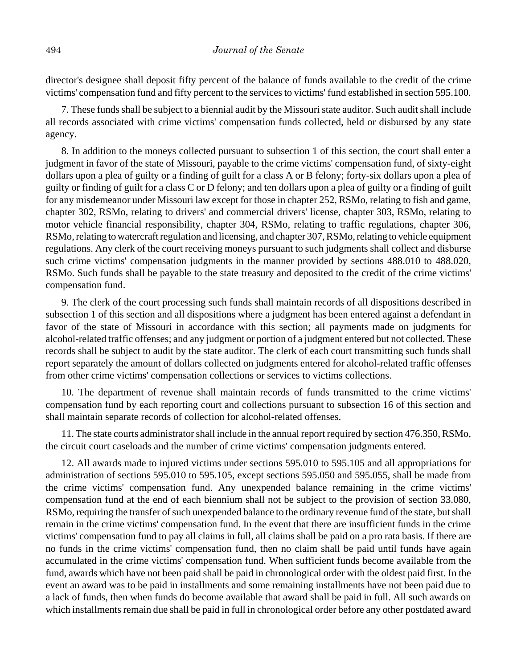director's designee shall deposit fifty percent of the balance of funds available to the credit of the crime victims' compensation fund and fifty percent to the services to victims' fund established in section 595.100.

7. These funds shall be subject to a biennial audit by the Missouri state auditor. Such audit shall include all records associated with crime victims' compensation funds collected, held or disbursed by any state agency.

8. In addition to the moneys collected pursuant to subsection 1 of this section, the court shall enter a judgment in favor of the state of Missouri, payable to the crime victims' compensation fund, of sixty-eight dollars upon a plea of guilty or a finding of guilt for a class A or B felony; forty-six dollars upon a plea of guilty or finding of guilt for a class C or D felony; and ten dollars upon a plea of guilty or a finding of guilt for any misdemeanor under Missouri law except for those in chapter 252, RSMo, relating to fish and game, chapter 302, RSMo, relating to drivers' and commercial drivers' license, chapter 303, RSMo, relating to motor vehicle financial responsibility, chapter 304, RSMo, relating to traffic regulations, chapter 306, RSMo, relating to watercraft regulation and licensing, and chapter 307, RSMo, relating to vehicle equipment regulations. Any clerk of the court receiving moneys pursuant to such judgments shall collect and disburse such crime victims' compensation judgments in the manner provided by sections 488.010 to 488.020, RSMo. Such funds shall be payable to the state treasury and deposited to the credit of the crime victims' compensation fund.

9. The clerk of the court processing such funds shall maintain records of all dispositions described in subsection 1 of this section and all dispositions where a judgment has been entered against a defendant in favor of the state of Missouri in accordance with this section; all payments made on judgments for alcohol-related traffic offenses; and any judgment or portion of a judgment entered but not collected. These records shall be subject to audit by the state auditor. The clerk of each court transmitting such funds shall report separately the amount of dollars collected on judgments entered for alcohol-related traffic offenses from other crime victims' compensation collections or services to victims collections.

10. The department of revenue shall maintain records of funds transmitted to the crime victims' compensation fund by each reporting court and collections pursuant to subsection 16 of this section and shall maintain separate records of collection for alcohol-related offenses.

11. The state courts administrator shall include in the annual report required by section 476.350, RSMo, the circuit court caseloads and the number of crime victims' compensation judgments entered.

12. All awards made to injured victims under sections 595.010 to 595.105 and all appropriations for administration of sections 595.010 to 595.105, except sections 595.050 and 595.055, shall be made from the crime victims' compensation fund. Any unexpended balance remaining in the crime victims' compensation fund at the end of each biennium shall not be subject to the provision of section 33.080, RSMo, requiring the transfer of such unexpended balance to the ordinary revenue fund of the state, but shall remain in the crime victims' compensation fund. In the event that there are insufficient funds in the crime victims' compensation fund to pay all claims in full, all claims shall be paid on a pro rata basis. If there are no funds in the crime victims' compensation fund, then no claim shall be paid until funds have again accumulated in the crime victims' compensation fund. When sufficient funds become available from the fund, awards which have not been paid shall be paid in chronological order with the oldest paid first. In the event an award was to be paid in installments and some remaining installments have not been paid due to a lack of funds, then when funds do become available that award shall be paid in full. All such awards on which installments remain due shall be paid in full in chronological order before any other postdated award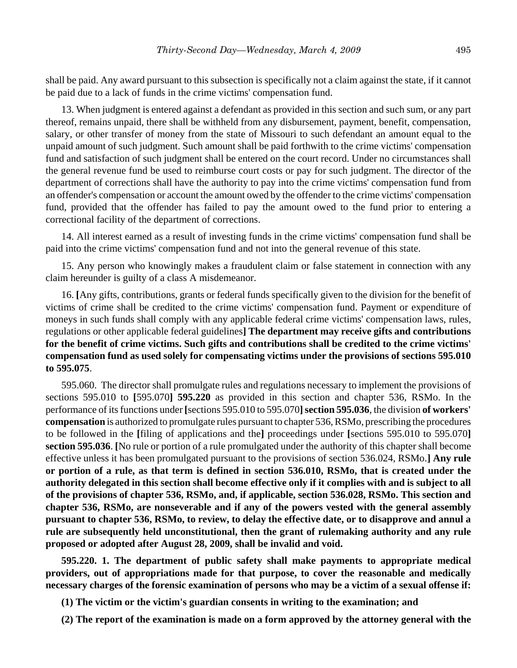shall be paid. Any award pursuant to this subsection is specifically not a claim against the state, if it cannot be paid due to a lack of funds in the crime victims' compensation fund.

13. When judgment is entered against a defendant as provided in this section and such sum, or any part thereof, remains unpaid, there shall be withheld from any disbursement, payment, benefit, compensation, salary, or other transfer of money from the state of Missouri to such defendant an amount equal to the unpaid amount of such judgment. Such amount shall be paid forthwith to the crime victims' compensation fund and satisfaction of such judgment shall be entered on the court record. Under no circumstances shall the general revenue fund be used to reimburse court costs or pay for such judgment. The director of the department of corrections shall have the authority to pay into the crime victims' compensation fund from an offender's compensation or account the amount owed by the offender to the crime victims' compensation fund, provided that the offender has failed to pay the amount owed to the fund prior to entering a correctional facility of the department of corrections.

14. All interest earned as a result of investing funds in the crime victims' compensation fund shall be paid into the crime victims' compensation fund and not into the general revenue of this state.

15. Any person who knowingly makes a fraudulent claim or false statement in connection with any claim hereunder is guilty of a class A misdemeanor.

16. **[**Any gifts, contributions, grants or federal funds specifically given to the division for the benefit of victims of crime shall be credited to the crime victims' compensation fund. Payment or expenditure of moneys in such funds shall comply with any applicable federal crime victims' compensation laws, rules, regulations or other applicable federal guidelines**] The department may receive gifts and contributions for the benefit of crime victims. Such gifts and contributions shall be credited to the crime victims' compensation fund as used solely for compensating victims under the provisions of sections 595.010 to 595.075**.

595.060. The director shall promulgate rules and regulations necessary to implement the provisions of sections 595.010 to **[**595.070**] 595.220** as provided in this section and chapter 536, RSMo. In the performance of its functions under **[**sections 595.010 to 595.070**]section 595.036**, the division **of workers' compensation** is authorized to promulgate rules pursuant to chapter 536, RSMo, prescribing the procedures to be followed in the **[**filing of applications and the**]** proceedings under **[**sections 595.010 to 595.070**] section 595.036**. **[**No rule or portion of a rule promulgated under the authority of this chapter shall become effective unless it has been promulgated pursuant to the provisions of section 536.024, RSMo.**] Any rule or portion of a rule, as that term is defined in section 536.010, RSMo, that is created under the authority delegated in this section shall become effective only if it complies with and is subject to all of the provisions of chapter 536, RSMo, and, if applicable, section 536.028, RSMo. This section and chapter 536, RSMo, are nonseverable and if any of the powers vested with the general assembly pursuant to chapter 536, RSMo, to review, to delay the effective date, or to disapprove and annul a rule are subsequently held unconstitutional, then the grant of rulemaking authority and any rule proposed or adopted after August 28, 2009, shall be invalid and void.**

**595.220. 1. The department of public safety shall make payments to appropriate medical providers, out of appropriations made for that purpose, to cover the reasonable and medically necessary charges of the forensic examination of persons who may be a victim of a sexual offense if:**

**(1) The victim or the victim's guardian consents in writing to the examination; and**

**(2) The report of the examination is made on a form approved by the attorney general with the**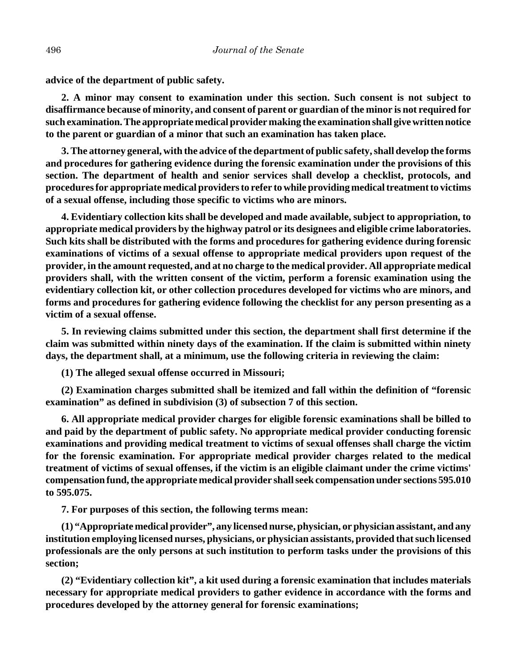**advice of the department of public safety.**

**2. A minor may consent to examination under this section. Such consent is not subject to disaffirmance because of minority, and consent of parent or guardian of the minor is not required for such examination. The appropriate medical provider making the examination shall give written notice to the parent or guardian of a minor that such an examination has taken place.**

**3. The attorney general, with the advice of the department of public safety, shall develop the forms and procedures for gathering evidence during the forensic examination under the provisions of this section. The department of health and senior services shall develop a checklist, protocols, and procedures for appropriate medical providers to refer to while providing medical treatment to victims of a sexual offense, including those specific to victims who are minors.**

**4. Evidentiary collection kits shall be developed and made available, subject to appropriation, to appropriate medical providers by the highway patrol or its designees and eligible crime laboratories. Such kits shall be distributed with the forms and procedures for gathering evidence during forensic examinations of victims of a sexual offense to appropriate medical providers upon request of the provider, in the amount requested, and at no charge to the medical provider. All appropriate medical providers shall, with the written consent of the victim, perform a forensic examination using the evidentiary collection kit, or other collection procedures developed for victims who are minors, and forms and procedures for gathering evidence following the checklist for any person presenting as a victim of a sexual offense.**

**5. In reviewing claims submitted under this section, the department shall first determine if the claim was submitted within ninety days of the examination. If the claim is submitted within ninety days, the department shall, at a minimum, use the following criteria in reviewing the claim:**

**(1) The alleged sexual offense occurred in Missouri;**

**(2) Examination charges submitted shall be itemized and fall within the definition of "forensic examination" as defined in subdivision (3) of subsection 7 of this section.**

**6. All appropriate medical provider charges for eligible forensic examinations shall be billed to and paid by the department of public safety. No appropriate medical provider conducting forensic examinations and providing medical treatment to victims of sexual offenses shall charge the victim for the forensic examination. For appropriate medical provider charges related to the medical treatment of victims of sexual offenses, if the victim is an eligible claimant under the crime victims' compensation fund, the appropriate medical provider shall seek compensation under sections 595.010 to 595.075.**

**7. For purposes of this section, the following terms mean:**

**(1) "Appropriate medical provider", any licensed nurse, physician, or physician assistant, and any institution employing licensed nurses, physicians, or physician assistants, provided that such licensed professionals are the only persons at such institution to perform tasks under the provisions of this section;**

**(2) "Evidentiary collection kit", a kit used during a forensic examination that includes materials necessary for appropriate medical providers to gather evidence in accordance with the forms and procedures developed by the attorney general for forensic examinations;**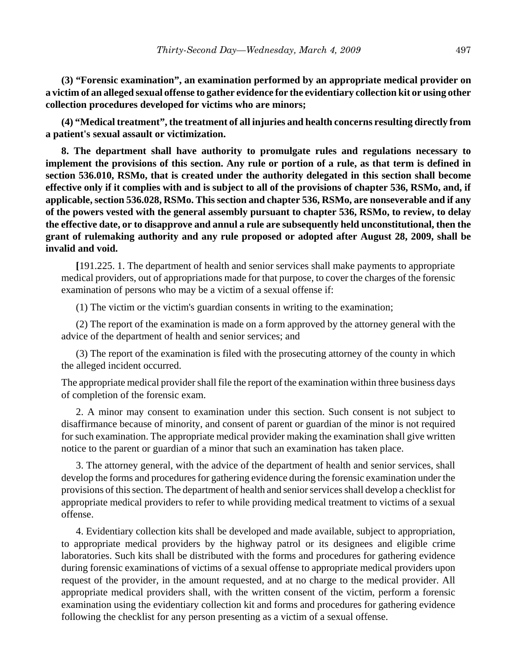**(3) "Forensic examination", an examination performed by an appropriate medical provider on a victim of an alleged sexual offense to gather evidence for the evidentiary collection kit or using other collection procedures developed for victims who are minors;**

**(4) "Medical treatment", the treatment of all injuries and health concerns resulting directly from a patient's sexual assault or victimization.**

**8. The department shall have authority to promulgate rules and regulations necessary to implement the provisions of this section. Any rule or portion of a rule, as that term is defined in section 536.010, RSMo, that is created under the authority delegated in this section shall become effective only if it complies with and is subject to all of the provisions of chapter 536, RSMo, and, if applicable, section 536.028, RSMo. This section and chapter 536, RSMo, are nonseverable and if any of the powers vested with the general assembly pursuant to chapter 536, RSMo, to review, to delay the effective date, or to disapprove and annul a rule are subsequently held unconstitutional, then the grant of rulemaking authority and any rule proposed or adopted after August 28, 2009, shall be invalid and void.**

**[**191.225. 1. The department of health and senior services shall make payments to appropriate medical providers, out of appropriations made for that purpose, to cover the charges of the forensic examination of persons who may be a victim of a sexual offense if:

(1) The victim or the victim's guardian consents in writing to the examination;

(2) The report of the examination is made on a form approved by the attorney general with the advice of the department of health and senior services; and

(3) The report of the examination is filed with the prosecuting attorney of the county in which the alleged incident occurred.

The appropriate medical provider shall file the report of the examination within three business days of completion of the forensic exam.

2. A minor may consent to examination under this section. Such consent is not subject to disaffirmance because of minority, and consent of parent or guardian of the minor is not required for such examination. The appropriate medical provider making the examination shall give written notice to the parent or guardian of a minor that such an examination has taken place.

3. The attorney general, with the advice of the department of health and senior services, shall develop the forms and procedures for gathering evidence during the forensic examination under the provisions of this section. The department of health and senior services shall develop a checklist for appropriate medical providers to refer to while providing medical treatment to victims of a sexual offense.

4. Evidentiary collection kits shall be developed and made available, subject to appropriation, to appropriate medical providers by the highway patrol or its designees and eligible crime laboratories. Such kits shall be distributed with the forms and procedures for gathering evidence during forensic examinations of victims of a sexual offense to appropriate medical providers upon request of the provider, in the amount requested, and at no charge to the medical provider. All appropriate medical providers shall, with the written consent of the victim, perform a forensic examination using the evidentiary collection kit and forms and procedures for gathering evidence following the checklist for any person presenting as a victim of a sexual offense.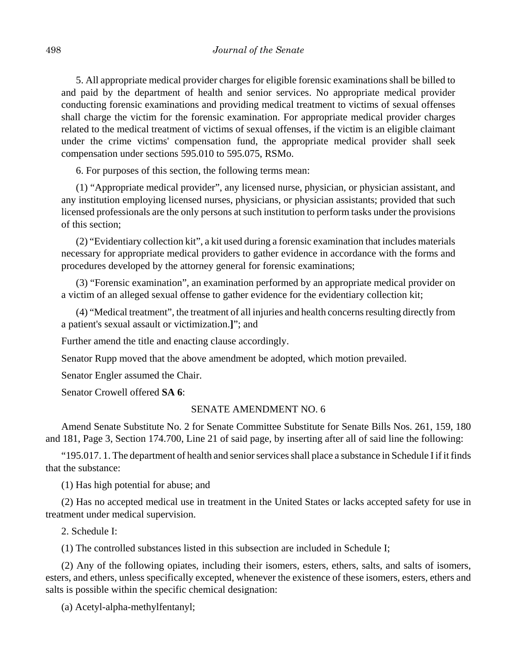5. All appropriate medical provider charges for eligible forensic examinations shall be billed to and paid by the department of health and senior services. No appropriate medical provider conducting forensic examinations and providing medical treatment to victims of sexual offenses shall charge the victim for the forensic examination. For appropriate medical provider charges related to the medical treatment of victims of sexual offenses, if the victim is an eligible claimant under the crime victims' compensation fund, the appropriate medical provider shall seek compensation under sections 595.010 to 595.075, RSMo.

6. For purposes of this section, the following terms mean:

(1) "Appropriate medical provider", any licensed nurse, physician, or physician assistant, and any institution employing licensed nurses, physicians, or physician assistants; provided that such licensed professionals are the only persons at such institution to perform tasks under the provisions of this section;

(2) "Evidentiary collection kit", a kit used during a forensic examination that includes materials necessary for appropriate medical providers to gather evidence in accordance with the forms and procedures developed by the attorney general for forensic examinations;

(3) "Forensic examination", an examination performed by an appropriate medical provider on a victim of an alleged sexual offense to gather evidence for the evidentiary collection kit;

(4) "Medical treatment", the treatment of all injuries and health concerns resulting directly from a patient's sexual assault or victimization.**]**"; and

Further amend the title and enacting clause accordingly.

Senator Rupp moved that the above amendment be adopted, which motion prevailed.

Senator Engler assumed the Chair.

Senator Crowell offered **SA 6**:

#### SENATE AMENDMENT NO. 6

Amend Senate Substitute No. 2 for Senate Committee Substitute for Senate Bills Nos. 261, 159, 180 and 181, Page 3, Section 174.700, Line 21 of said page, by inserting after all of said line the following:

"195.017. 1. The department of health and senior services shall place a substance in Schedule I if it finds that the substance:

(1) Has high potential for abuse; and

(2) Has no accepted medical use in treatment in the United States or lacks accepted safety for use in treatment under medical supervision.

2. Schedule I:

(1) The controlled substances listed in this subsection are included in Schedule I;

(2) Any of the following opiates, including their isomers, esters, ethers, salts, and salts of isomers, esters, and ethers, unless specifically excepted, whenever the existence of these isomers, esters, ethers and salts is possible within the specific chemical designation:

(a) Acetyl-alpha-methylfentanyl;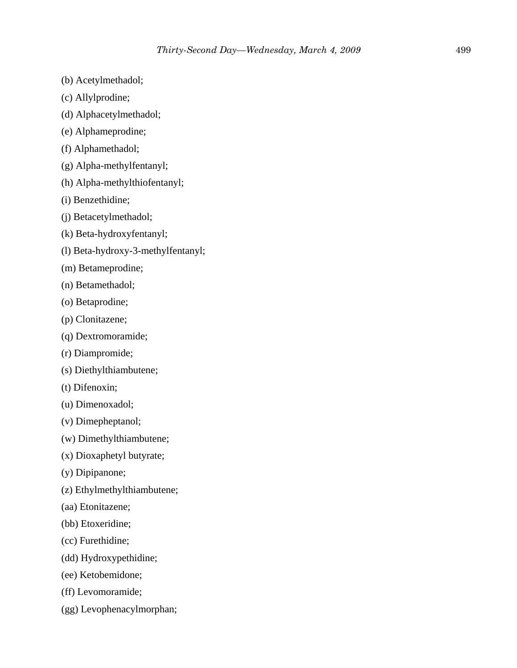- (b) Acetylmethadol;
- (c) Allylprodine;
- (d) Alphacetylmethadol;
- (e) Alphameprodine;
- (f) Alphamethadol;
- (g) Alpha-methylfentanyl;
- (h) Alpha-methylthiofentanyl;
- (i) Benzethidine;
- (j) Betacetylmethadol;
- (k) Beta-hydroxyfentanyl;
- (l) Beta-hydroxy-3-methylfentanyl;
- (m) Betameprodine;
- (n) Betamethadol;
- (o) Betaprodine;
- (p) Clonitazene;
- (q) Dextromoramide;
- (r) Diampromide;
- (s) Diethylthiambutene;
- (t) Difenoxin;
- (u) Dimenoxadol;
- (v) Dimepheptanol;
- (w) Dimethylthiambutene;
- (x) Dioxaphetyl butyrate;
- (y) Dipipanone;
- (z) Ethylmethylthiambutene;
- (aa) Etonitazene;
- (bb) Etoxeridine;
- (cc) Furethidine;
- (dd) Hydroxypethidine;
- (ee) Ketobemidone;
- (ff) Levomoramide;
- (gg) Levophenacylmorphan;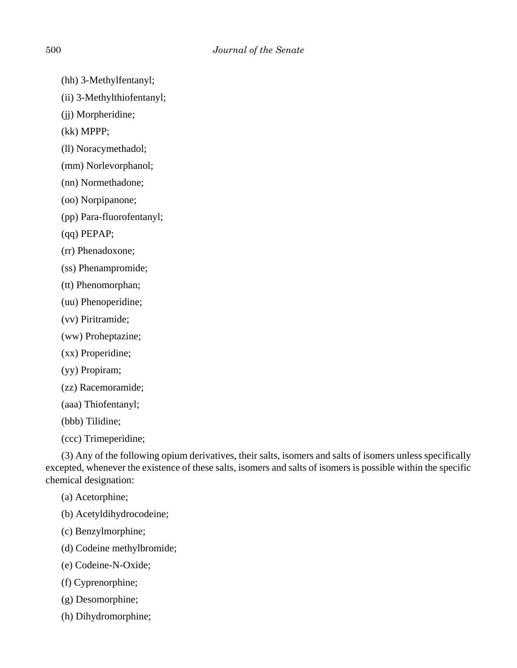- (hh) 3-Methylfentanyl;
- (ii) 3-Methylthiofentanyl;
- (jj) Morpheridine;
- (kk) MPPP;
- (ll) Noracymethadol;
- (mm) Norlevorphanol;
- (nn) Normethadone;
- (oo) Norpipanone;
- (pp) Para-fluorofentanyl;
- (qq) PEPAP;
- (rr) Phenadoxone;
- (ss) Phenampromide;
- (tt) Phenomorphan;
- (uu) Phenoperidine;
- (vv) Piritramide;
- (ww) Proheptazine;
- (xx) Properidine;
- (yy) Propiram;
- (zz) Racemoramide;
- (aaa) Thiofentanyl;
- (bbb) Tilidine;
- (ccc) Trimeperidine;

(3) Any of the following opium derivatives, their salts, isomers and salts of isomers unless specifically excepted, whenever the existence of these salts, isomers and salts of isomers is possible within the specific chemical designation:

- (a) Acetorphine;
- (b) Acetyldihydrocodeine;
- (c) Benzylmorphine;
- (d) Codeine methylbromide;
- (e) Codeine-N-Oxide;
- (f) Cyprenorphine;
- (g) Desomorphine;
- (h) Dihydromorphine;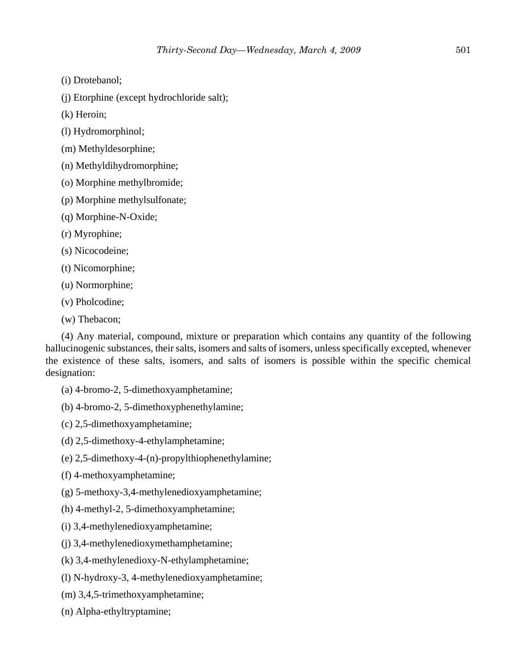(i) Drotebanol;

(j) Etorphine (except hydrochloride salt);

(k) Heroin;

(l) Hydromorphinol;

(m) Methyldesorphine;

(n) Methyldihydromorphine;

(o) Morphine methylbromide;

(p) Morphine methylsulfonate;

(q) Morphine-N-Oxide;

(r) Myrophine;

(s) Nicocodeine;

(t) Nicomorphine;

(u) Normorphine;

(v) Pholcodine;

(w) Thebacon;

(4) Any material, compound, mixture or preparation which contains any quantity of the following hallucinogenic substances, their salts, isomers and salts of isomers, unless specifically excepted, whenever the existence of these salts, isomers, and salts of isomers is possible within the specific chemical designation:

(a) 4-bromo-2, 5-dimethoxyamphetamine;

(b) 4-bromo-2, 5-dimethoxyphenethylamine;

(c) 2,5-dimethoxyamphetamine;

(d) 2,5-dimethoxy-4-ethylamphetamine;

(e) 2,5-dimethoxy-4-(n)-propylthiophenethylamine;

(f) 4-methoxyamphetamine;

(g) 5-methoxy-3,4-methylenedioxyamphetamine;

(h) 4-methyl-2, 5-dimethoxyamphetamine;

(i) 3,4-methylenedioxyamphetamine;

(j) 3,4-methylenedioxymethamphetamine;

(k) 3,4-methylenedioxy-N-ethylamphetamine;

(l) N-hydroxy-3, 4-methylenedioxyamphetamine;

(m) 3,4,5-trimethoxyamphetamine;

(n) Alpha-ethyltryptamine;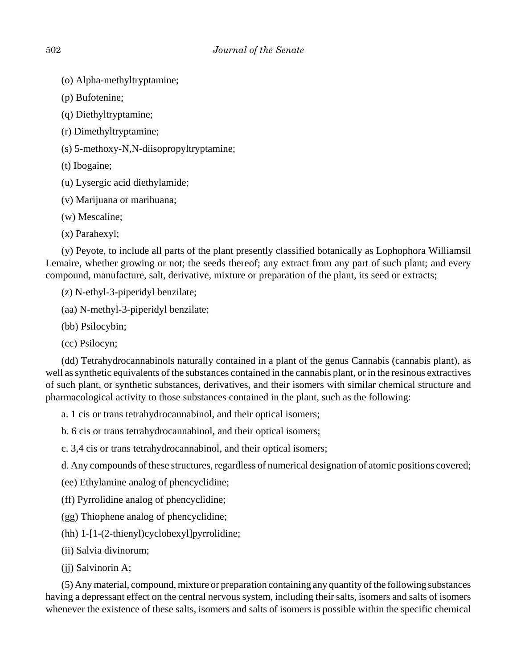- (o) Alpha-methyltryptamine;
- (p) Bufotenine;
- (q) Diethyltryptamine;
- (r) Dimethyltryptamine;
- (s) 5-methoxy-N,N-diisopropyltryptamine;
- (t) Ibogaine;
- (u) Lysergic acid diethylamide;
- (v) Marijuana or marihuana;
- (w) Mescaline;
- (x) Parahexyl;

(y) Peyote, to include all parts of the plant presently classified botanically as Lophophora Williamsil Lemaire, whether growing or not; the seeds thereof; any extract from any part of such plant; and every compound, manufacture, salt, derivative, mixture or preparation of the plant, its seed or extracts;

(z) N-ethyl-3-piperidyl benzilate;

- (aa) N-methyl-3-piperidyl benzilate;
- (bb) Psilocybin;
- (cc) Psilocyn;

(dd) Tetrahydrocannabinols naturally contained in a plant of the genus Cannabis (cannabis plant), as well as synthetic equivalents of the substances contained in the cannabis plant, or in the resinous extractives of such plant, or synthetic substances, derivatives, and their isomers with similar chemical structure and pharmacological activity to those substances contained in the plant, such as the following:

- a. 1 cis or trans tetrahydrocannabinol, and their optical isomers;
- b. 6 cis or trans tetrahydrocannabinol, and their optical isomers;
- c. 3,4 cis or trans tetrahydrocannabinol, and their optical isomers;
- d. Any compounds of these structures, regardless of numerical designation of atomic positions covered;
- (ee) Ethylamine analog of phencyclidine;
- (ff) Pyrrolidine analog of phencyclidine;
- (gg) Thiophene analog of phencyclidine;
- (hh) 1-[1-(2-thienyl)cyclohexyl]pyrrolidine;
- (ii) Salvia divinorum;
- (jj) Salvinorin A;

(5) Any material, compound, mixture or preparation containing any quantity of the following substances having a depressant effect on the central nervous system, including their salts, isomers and salts of isomers whenever the existence of these salts, isomers and salts of isomers is possible within the specific chemical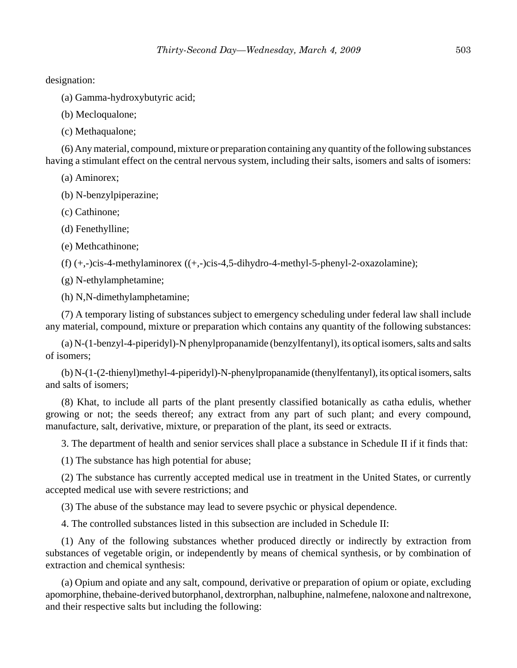designation:

(a) Gamma-hydroxybutyric acid;

(b) Mecloqualone;

(c) Methaqualone;

(6) Any material, compound, mixture or preparation containing any quantity of the following substances having a stimulant effect on the central nervous system, including their salts, isomers and salts of isomers:

(a) Aminorex;

(b) N-benzylpiperazine;

(c) Cathinone;

(d) Fenethylline;

(e) Methcathinone;

 $(f)$  (+,-)cis-4-methylaminorex ((+,-)cis-4,5-dihydro-4-methyl-5-phenyl-2-oxazolamine);

(g) N-ethylamphetamine;

(h) N,N-dimethylamphetamine;

(7) A temporary listing of substances subject to emergency scheduling under federal law shall include any material, compound, mixture or preparation which contains any quantity of the following substances:

(a) N-(1-benzyl-4-piperidyl)-N phenylpropanamide (benzylfentanyl), its optical isomers, salts and salts of isomers;

(b) N-(1-(2-thienyl)methyl-4-piperidyl)-N-phenylpropanamide (thenylfentanyl), its optical isomers, salts and salts of isomers;

(8) Khat, to include all parts of the plant presently classified botanically as catha edulis, whether growing or not; the seeds thereof; any extract from any part of such plant; and every compound, manufacture, salt, derivative, mixture, or preparation of the plant, its seed or extracts.

3. The department of health and senior services shall place a substance in Schedule II if it finds that:

(1) The substance has high potential for abuse;

(2) The substance has currently accepted medical use in treatment in the United States, or currently accepted medical use with severe restrictions; and

(3) The abuse of the substance may lead to severe psychic or physical dependence.

4. The controlled substances listed in this subsection are included in Schedule II:

(1) Any of the following substances whether produced directly or indirectly by extraction from substances of vegetable origin, or independently by means of chemical synthesis, or by combination of extraction and chemical synthesis:

(a) Opium and opiate and any salt, compound, derivative or preparation of opium or opiate, excluding apomorphine, thebaine-derived butorphanol, dextrorphan, nalbuphine, nalmefene, naloxone and naltrexone, and their respective salts but including the following: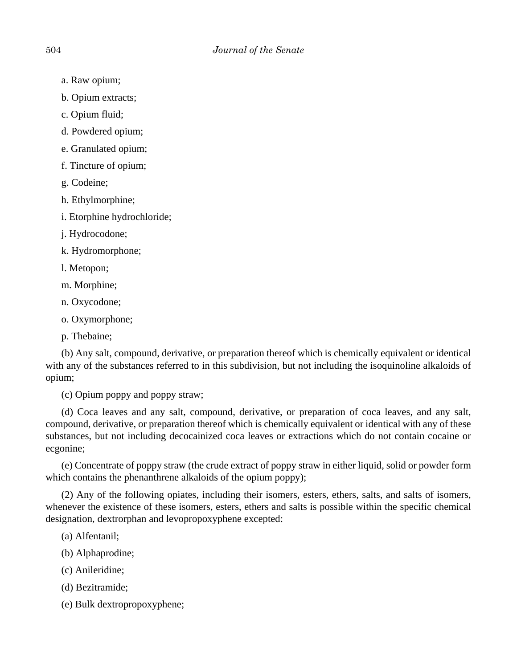- a. Raw opium;
- b. Opium extracts;
- c. Opium fluid;
- d. Powdered opium;
- e. Granulated opium;
- f. Tincture of opium;
- g. Codeine;
- h. Ethylmorphine;
- i. Etorphine hydrochloride;
- j. Hydrocodone;
- k. Hydromorphone;
- l. Metopon;
- m. Morphine;
- n. Oxycodone;
- o. Oxymorphone;
- p. Thebaine;

(b) Any salt, compound, derivative, or preparation thereof which is chemically equivalent or identical with any of the substances referred to in this subdivision, but not including the isoquinoline alkaloids of opium;

(c) Opium poppy and poppy straw;

(d) Coca leaves and any salt, compound, derivative, or preparation of coca leaves, and any salt, compound, derivative, or preparation thereof which is chemically equivalent or identical with any of these substances, but not including decocainized coca leaves or extractions which do not contain cocaine or ecgonine;

(e) Concentrate of poppy straw (the crude extract of poppy straw in either liquid, solid or powder form which contains the phenanthrene alkaloids of the opium poppy);

(2) Any of the following opiates, including their isomers, esters, ethers, salts, and salts of isomers, whenever the existence of these isomers, esters, ethers and salts is possible within the specific chemical designation, dextrorphan and levopropoxyphene excepted:

- (a) Alfentanil;
- (b) Alphaprodine;
- (c) Anileridine;
- (d) Bezitramide;
- (e) Bulk dextropropoxyphene;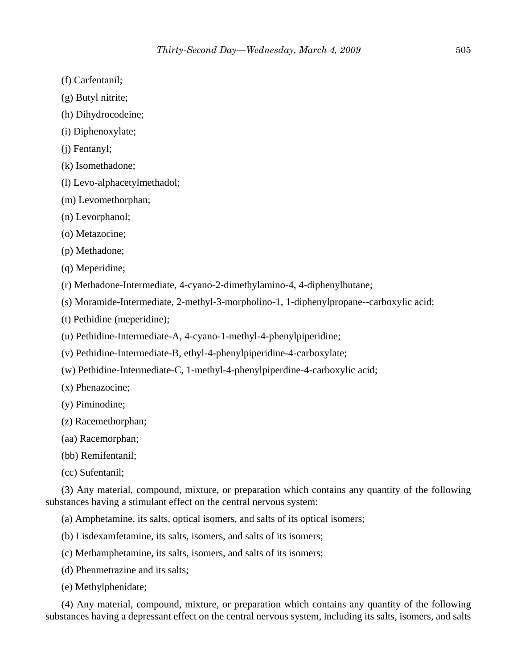- (f) Carfentanil;
- (g) Butyl nitrite;
- (h) Dihydrocodeine;
- (i) Diphenoxylate;
- (j) Fentanyl;
- (k) Isomethadone;
- (l) Levo-alphacetylmethadol;
- (m) Levomethorphan;
- (n) Levorphanol;
- (o) Metazocine;
- (p) Methadone;
- (q) Meperidine;
- (r) Methadone-Intermediate, 4-cyano-2-dimethylamino-4, 4-diphenylbutane;
- (s) Moramide-Intermediate, 2-methyl-3-morpholino-1, 1-diphenylpropane--carboxylic acid;
- (t) Pethidine (meperidine);
- (u) Pethidine-Intermediate-A, 4-cyano-1-methyl-4-phenylpiperidine;
- (v) Pethidine-Intermediate-B, ethyl-4-phenylpiperidine-4-carboxylate;
- (w) Pethidine-Intermediate-C, 1-methyl-4-phenylpiperdine-4-carboxylic acid;
- (x) Phenazocine;
- (y) Piminodine;
- (z) Racemethorphan;
- (aa) Racemorphan;
- (bb) Remifentanil;
- (cc) Sufentanil;

(3) Any material, compound, mixture, or preparation which contains any quantity of the following substances having a stimulant effect on the central nervous system:

(a) Amphetamine, its salts, optical isomers, and salts of its optical isomers;

- (b) Lisdexamfetamine, its salts, isomers, and salts of its isomers;
- (c) Methamphetamine, its salts, isomers, and salts of its isomers;
- (d) Phenmetrazine and its salts;
- (e) Methylphenidate;

(4) Any material, compound, mixture, or preparation which contains any quantity of the following substances having a depressant effect on the central nervous system, including its salts, isomers, and salts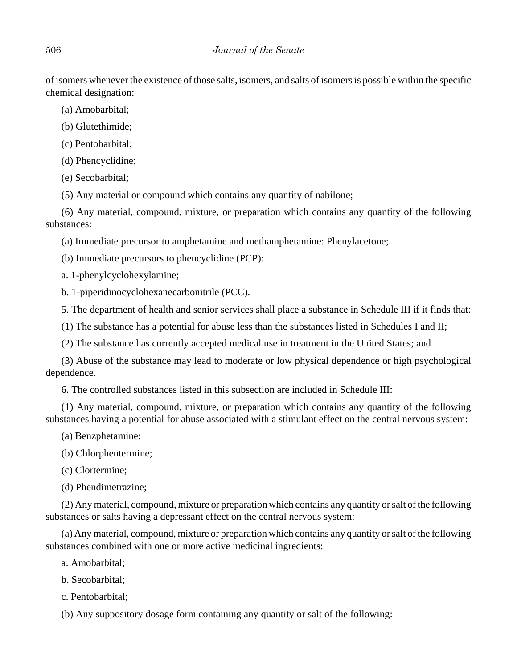of isomers whenever the existence of those salts, isomers, and salts of isomers is possible within the specific chemical designation:

(a) Amobarbital;

(b) Glutethimide;

(c) Pentobarbital;

(d) Phencyclidine;

(e) Secobarbital;

(5) Any material or compound which contains any quantity of nabilone;

(6) Any material, compound, mixture, or preparation which contains any quantity of the following substances:

(a) Immediate precursor to amphetamine and methamphetamine: Phenylacetone;

(b) Immediate precursors to phencyclidine (PCP):

a. 1-phenylcyclohexylamine;

b. 1-piperidinocyclohexanecarbonitrile (PCC).

5. The department of health and senior services shall place a substance in Schedule III if it finds that:

(1) The substance has a potential for abuse less than the substances listed in Schedules I and II;

(2) The substance has currently accepted medical use in treatment in the United States; and

(3) Abuse of the substance may lead to moderate or low physical dependence or high psychological dependence.

6. The controlled substances listed in this subsection are included in Schedule III:

(1) Any material, compound, mixture, or preparation which contains any quantity of the following substances having a potential for abuse associated with a stimulant effect on the central nervous system:

(a) Benzphetamine;

(b) Chlorphentermine;

(c) Clortermine;

(d) Phendimetrazine;

(2) Any material, compound, mixture or preparation which contains any quantity or salt of the following substances or salts having a depressant effect on the central nervous system:

(a) Any material, compound, mixture or preparation which contains any quantity or salt of the following substances combined with one or more active medicinal ingredients:

a. Amobarbital;

b. Secobarbital;

c. Pentobarbital;

(b) Any suppository dosage form containing any quantity or salt of the following: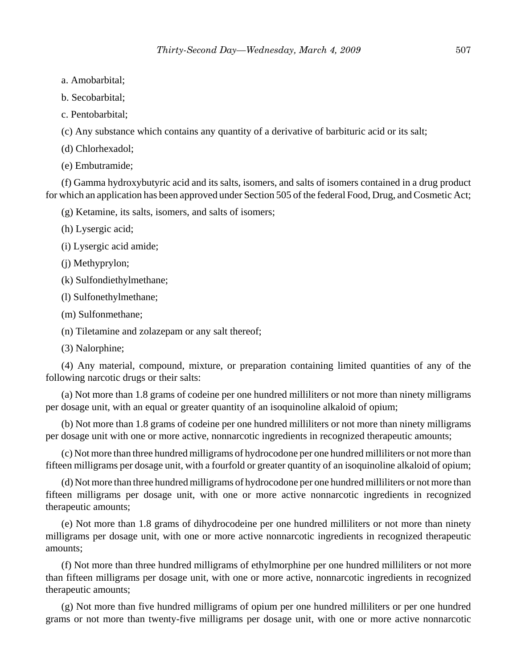- a. Amobarbital;
- b. Secobarbital;
- c. Pentobarbital;

(c) Any substance which contains any quantity of a derivative of barbituric acid or its salt;

(d) Chlorhexadol;

(e) Embutramide;

(f) Gamma hydroxybutyric acid and its salts, isomers, and salts of isomers contained in a drug product for which an application has been approved under Section 505 of the federal Food, Drug, and Cosmetic Act;

(g) Ketamine, its salts, isomers, and salts of isomers;

(h) Lysergic acid;

(i) Lysergic acid amide;

(j) Methyprylon;

(k) Sulfondiethylmethane;

(l) Sulfonethylmethane;

(m) Sulfonmethane;

(n) Tiletamine and zolazepam or any salt thereof;

(3) Nalorphine;

(4) Any material, compound, mixture, or preparation containing limited quantities of any of the following narcotic drugs or their salts:

(a) Not more than 1.8 grams of codeine per one hundred milliliters or not more than ninety milligrams per dosage unit, with an equal or greater quantity of an isoquinoline alkaloid of opium;

(b) Not more than 1.8 grams of codeine per one hundred milliliters or not more than ninety milligrams per dosage unit with one or more active, nonnarcotic ingredients in recognized therapeutic amounts;

(c) Not more than three hundred milligrams of hydrocodone per one hundred milliliters or not more than fifteen milligrams per dosage unit, with a fourfold or greater quantity of an isoquinoline alkaloid of opium;

(d) Not more than three hundred milligrams of hydrocodone per one hundred milliliters or not more than fifteen milligrams per dosage unit, with one or more active nonnarcotic ingredients in recognized therapeutic amounts;

(e) Not more than 1.8 grams of dihydrocodeine per one hundred milliliters or not more than ninety milligrams per dosage unit, with one or more active nonnarcotic ingredients in recognized therapeutic amounts;

(f) Not more than three hundred milligrams of ethylmorphine per one hundred milliliters or not more than fifteen milligrams per dosage unit, with one or more active, nonnarcotic ingredients in recognized therapeutic amounts;

(g) Not more than five hundred milligrams of opium per one hundred milliliters or per one hundred grams or not more than twenty-five milligrams per dosage unit, with one or more active nonnarcotic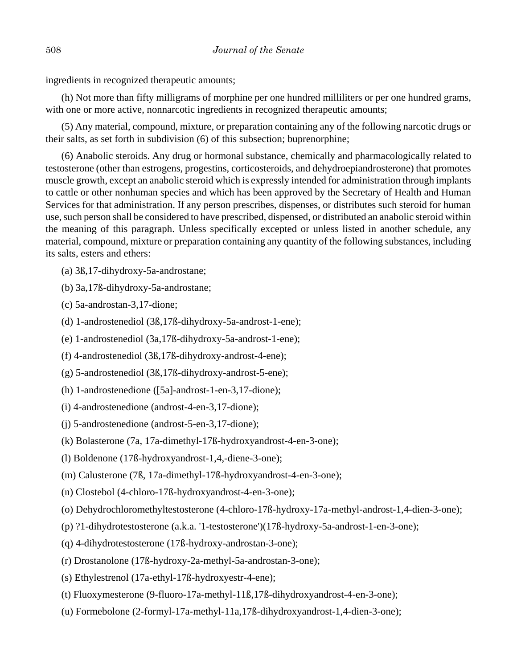ingredients in recognized therapeutic amounts;

(h) Not more than fifty milligrams of morphine per one hundred milliliters or per one hundred grams, with one or more active, nonnarcotic ingredients in recognized therapeutic amounts;

(5) Any material, compound, mixture, or preparation containing any of the following narcotic drugs or their salts, as set forth in subdivision (6) of this subsection; buprenorphine;

(6) Anabolic steroids. Any drug or hormonal substance, chemically and pharmacologically related to testosterone (other than estrogens, progestins, corticosteroids, and dehydroepiandrosterone) that promotes muscle growth, except an anabolic steroid which is expressly intended for administration through implants to cattle or other nonhuman species and which has been approved by the Secretary of Health and Human Services for that administration. If any person prescribes, dispenses, or distributes such steroid for human use, such person shall be considered to have prescribed, dispensed, or distributed an anabolic steroid within the meaning of this paragraph. Unless specifically excepted or unless listed in another schedule, any material, compound, mixture or preparation containing any quantity of the following substances, including its salts, esters and ethers:

- (a) 3ß,17-dihydroxy-5a-androstane;
- (b) 3a,17ß-dihydroxy-5a-androstane;
- (c) 5a-androstan-3,17-dione;
- (d) 1-androstenediol (3ß,17ß-dihydroxy-5a-androst-1-ene);
- (e) 1-androstenediol (3a,17ß-dihydroxy-5a-androst-1-ene);
- (f) 4-androstenediol (3ß,17ß-dihydroxy-androst-4-ene);
- (g) 5-androstenediol (3ß,17ß-dihydroxy-androst-5-ene);
- (h) 1-androstenedione ([5a]-androst-1-en-3,17-dione);
- (i) 4-androstenedione (androst-4-en-3,17-dione);
- (j) 5-androstenedione (androst-5-en-3,17-dione);
- (k) Bolasterone (7a, 17a-dimethyl-17ß-hydroxyandrost-4-en-3-one);
- (l) Boldenone (17ß-hydroxyandrost-1,4,-diene-3-one);
- (m) Calusterone (7ß, 17a-dimethyl-17ß-hydroxyandrost-4-en-3-one);
- (n) Clostebol (4-chloro-17ß-hydroxyandrost-4-en-3-one);
- (o) Dehydrochloromethyltestosterone (4-chloro-17ß-hydroxy-17a-methyl-androst-1,4-dien-3-one);
- (p) ?1-dihydrotestosterone (a.k.a. '1-testosterone')(17ß-hydroxy-5a-androst-1-en-3-one);
- (q) 4-dihydrotestosterone (17ß-hydroxy-androstan-3-one);
- (r) Drostanolone (17ß-hydroxy-2a-methyl-5a-androstan-3-one);
- (s) Ethylestrenol (17a-ethyl-17ß-hydroxyestr-4-ene);
- (t) Fluoxymesterone (9-fluoro-17a-methyl-11ß,17ß-dihydroxyandrost-4-en-3-one);
- (u) Formebolone (2-formyl-17a-methyl-11a,17ß-dihydroxyandrost-1,4-dien-3-one);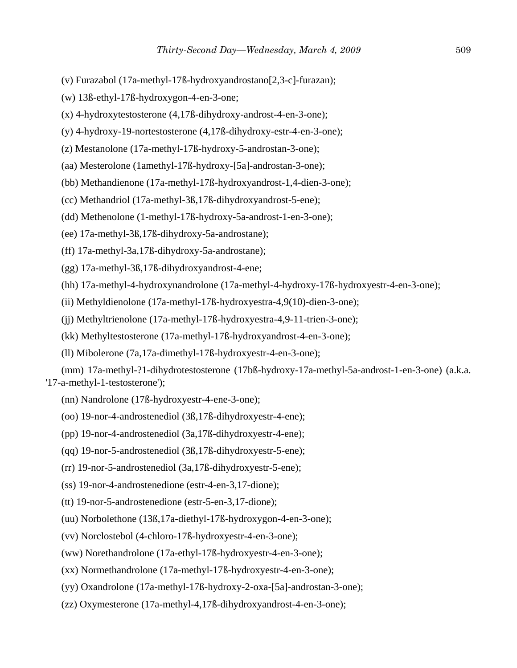- (v) Furazabol (17a-methyl-17ß-hydroxyandrostano[2,3-c]-furazan);
- (w) 13ß-ethyl-17ß-hydroxygon-4-en-3-one;
- (x) 4-hydroxytestosterone (4,17ß-dihydroxy-androst-4-en-3-one);
- (y) 4-hydroxy-19-nortestosterone (4,17ß-dihydroxy-estr-4-en-3-one);
- (z) Mestanolone (17a-methyl-17ß-hydroxy-5-androstan-3-one);
- (aa) Mesterolone (1amethyl-17ß-hydroxy-[5a]-androstan-3-one);
- (bb) Methandienone (17a-methyl-17ß-hydroxyandrost-1,4-dien-3-one);
- (cc) Methandriol (17a-methyl-3ß,17ß-dihydroxyandrost-5-ene);
- (dd) Methenolone (1-methyl-17ß-hydroxy-5a-androst-1-en-3-one);
- (ee) 17a-methyl-3ß,17ß-dihydroxy-5a-androstane);
- (ff) 17a-methyl-3a,17ß-dihydroxy-5a-androstane);
- (gg) 17a-methyl-3ß,17ß-dihydroxyandrost-4-ene;
- (hh) 17a-methyl-4-hydroxynandrolone (17a-methyl-4-hydroxy-17ß-hydroxyestr-4-en-3-one);
- (ii) Methyldienolone (17a-methyl-17ß-hydroxyestra-4,9(10)-dien-3-one);
- (jj) Methyltrienolone (17a-methyl-17ß-hydroxyestra-4,9-11-trien-3-one);
- (kk) Methyltestosterone (17a-methyl-17ß-hydroxyandrost-4-en-3-one);
- (ll) Mibolerone (7a,17a-dimethyl-17ß-hydroxyestr-4-en-3-one);

(mm) 17a-methyl-?1-dihydrotestosterone (17bß-hydroxy-17a-methyl-5a-androst-1-en-3-one) (a.k.a. '17-a-methyl-1-testosterone');

- (nn) Nandrolone (17ß-hydroxyestr-4-ene-3-one);
- (oo) 19-nor-4-androstenediol (3ß,17ß-dihydroxyestr-4-ene);
- (pp) 19-nor-4-androstenediol (3a,17ß-dihydroxyestr-4-ene);
- (qq) 19-nor-5-androstenediol (3ß,17ß-dihydroxyestr-5-ene);
- (rr) 19-nor-5-androstenediol (3a,17ß-dihydroxyestr-5-ene);
- (ss) 19-nor-4-androstenedione (estr-4-en-3,17-dione);
- (tt) 19-nor-5-androstenedione (estr-5-en-3,17-dione);
- (uu) Norbolethone (13ß,17a-diethyl-17ß-hydroxygon-4-en-3-one);
- (vv) Norclostebol (4-chloro-17ß-hydroxyestr-4-en-3-one);
- (ww) Norethandrolone (17a-ethyl-17ß-hydroxyestr-4-en-3-one);
- (xx) Normethandrolone (17a-methyl-17ß-hydroxyestr-4-en-3-one);
- (yy) Oxandrolone (17a-methyl-17ß-hydroxy-2-oxa-[5a]-androstan-3-one);
- (zz) Oxymesterone (17a-methyl-4,17ß-dihydroxyandrost-4-en-3-one);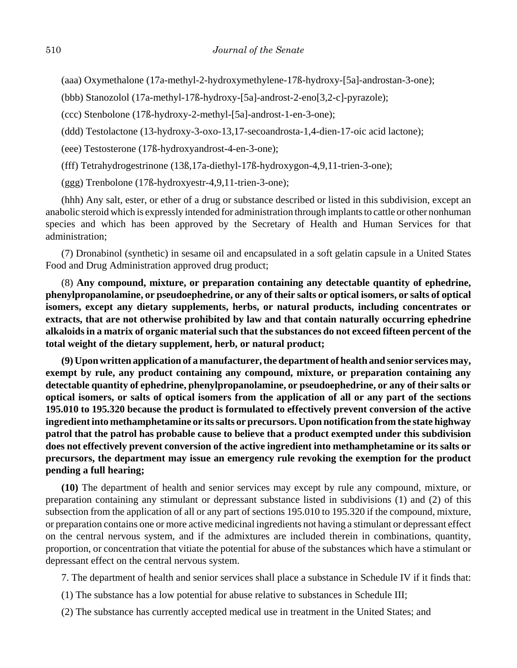(aaa) Oxymethalone (17a-methyl-2-hydroxymethylene-17ß-hydroxy-[5a]-androstan-3-one);

(bbb) Stanozolol (17a-methyl-17ß-hydroxy-[5a]-androst-2-eno[3,2-c]-pyrazole);

(ccc) Stenbolone (17ß-hydroxy-2-methyl-[5a]-androst-1-en-3-one);

(ddd) Testolactone (13-hydroxy-3-oxo-13,17-secoandrosta-1,4-dien-17-oic acid lactone);

(eee) Testosterone (17ß-hydroxyandrost-4-en-3-one);

(fff) Tetrahydrogestrinone (13ß,17a-diethyl-17ß-hydroxygon-4,9,11-trien-3-one);

(ggg) Trenbolone (17ß-hydroxyestr-4,9,11-trien-3-one);

(hhh) Any salt, ester, or ether of a drug or substance described or listed in this subdivision, except an anabolic steroid which is expressly intended for administration through implants to cattle or other nonhuman species and which has been approved by the Secretary of Health and Human Services for that administration;

(7) Dronabinol (synthetic) in sesame oil and encapsulated in a soft gelatin capsule in a United States Food and Drug Administration approved drug product;

(8) **Any compound, mixture, or preparation containing any detectable quantity of ephedrine, phenylpropanolamine, or pseudoephedrine, or any of their salts or optical isomers, or salts of optical isomers, except any dietary supplements, herbs, or natural products, including concentrates or extracts, that are not otherwise prohibited by law and that contain naturally occurring ephedrine alkaloids in a matrix of organic material such that the substances do not exceed fifteen percent of the total weight of the dietary supplement, herb, or natural product;**

**(9) Upon written application of a manufacturer, the department of health and senior services may, exempt by rule, any product containing any compound, mixture, or preparation containing any detectable quantity of ephedrine, phenylpropanolamine, or pseudoephedrine, or any of their salts or optical isomers, or salts of optical isomers from the application of all or any part of the sections 195.010 to 195.320 because the product is formulated to effectively prevent conversion of the active ingredient into methamphetamine or its salts or precursors. Upon notification from the state highway patrol that the patrol has probable cause to believe that a product exempted under this subdivision does not effectively prevent conversion of the active ingredient into methamphetamine or its salts or precursors, the department may issue an emergency rule revoking the exemption for the product pending a full hearing;**

**(10)** The department of health and senior services may except by rule any compound, mixture, or preparation containing any stimulant or depressant substance listed in subdivisions (1) and (2) of this subsection from the application of all or any part of sections 195.010 to 195.320 if the compound, mixture, or preparation contains one or more active medicinal ingredients not having a stimulant or depressant effect on the central nervous system, and if the admixtures are included therein in combinations, quantity, proportion, or concentration that vitiate the potential for abuse of the substances which have a stimulant or depressant effect on the central nervous system.

7. The department of health and senior services shall place a substance in Schedule IV if it finds that:

- (1) The substance has a low potential for abuse relative to substances in Schedule III;
- (2) The substance has currently accepted medical use in treatment in the United States; and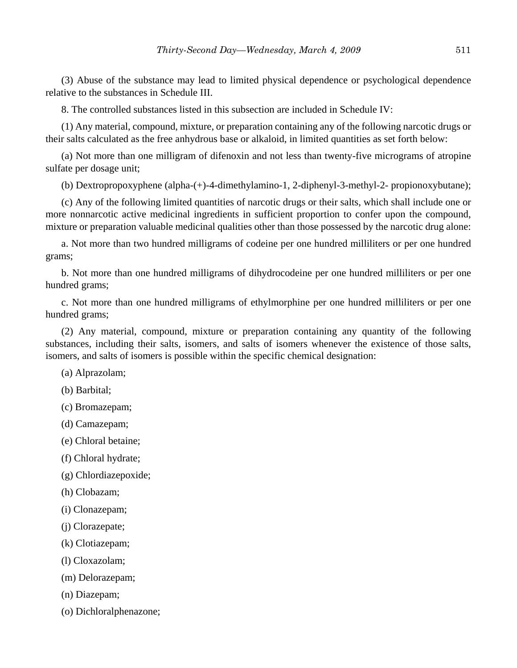(3) Abuse of the substance may lead to limited physical dependence or psychological dependence relative to the substances in Schedule III.

8. The controlled substances listed in this subsection are included in Schedule IV:

(1) Any material, compound, mixture, or preparation containing any of the following narcotic drugs or their salts calculated as the free anhydrous base or alkaloid, in limited quantities as set forth below:

(a) Not more than one milligram of difenoxin and not less than twenty-five micrograms of atropine sulfate per dosage unit;

(b) Dextropropoxyphene (alpha-(+)-4-dimethylamino-1, 2-diphenyl-3-methyl-2- propionoxybutane);

(c) Any of the following limited quantities of narcotic drugs or their salts, which shall include one or more nonnarcotic active medicinal ingredients in sufficient proportion to confer upon the compound, mixture or preparation valuable medicinal qualities other than those possessed by the narcotic drug alone:

a. Not more than two hundred milligrams of codeine per one hundred milliliters or per one hundred grams;

b. Not more than one hundred milligrams of dihydrocodeine per one hundred milliliters or per one hundred grams;

c. Not more than one hundred milligrams of ethylmorphine per one hundred milliliters or per one hundred grams;

(2) Any material, compound, mixture or preparation containing any quantity of the following substances, including their salts, isomers, and salts of isomers whenever the existence of those salts, isomers, and salts of isomers is possible within the specific chemical designation:

- (a) Alprazolam;
- (b) Barbital;
- (c) Bromazepam;
- (d) Camazepam;
- (e) Chloral betaine;
- (f) Chloral hydrate;
- (g) Chlordiazepoxide;
- (h) Clobazam;
- (i) Clonazepam;
- (j) Clorazepate;
- (k) Clotiazepam;
- (l) Cloxazolam;
- (m) Delorazepam;
- (n) Diazepam;
- (o) Dichloralphenazone;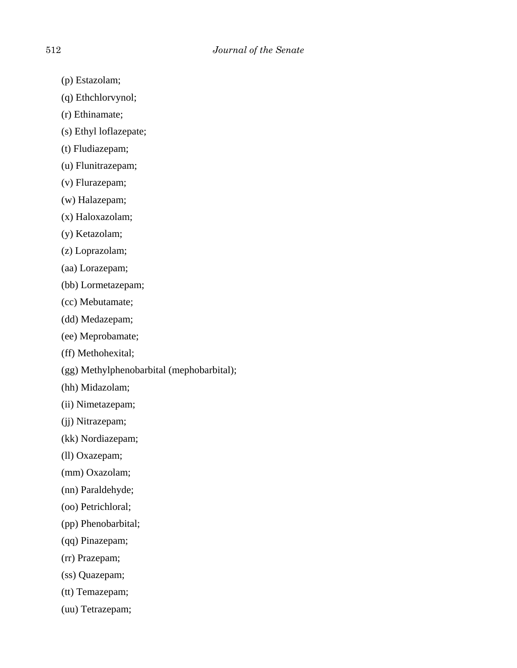- (p) Estazolam;
- (q) Ethchlorvynol;
- (r) Ethinamate;
- (s) Ethyl loflazepate;
- (t) Fludiazepam;
- (u) Flunitrazepam;
- (v) Flurazepam;
- (w) Halazepam;
- (x) Haloxazolam;
- (y) Ketazolam;
- (z) Loprazolam;
- (aa) Lorazepam;
- (bb) Lormetazepam;
- (cc) Mebutamate;
- (dd) Medazepam;
- (ee) Meprobamate;
- (ff) Methohexital;
- (gg) Methylphenobarbital (mephobarbital);
- (hh) Midazolam;
- (ii) Nimetazepam;
- (jj) Nitrazepam;
- (kk) Nordiazepam;
- (ll) Oxazepam;
- (mm) Oxazolam;
- (nn) Paraldehyde;
- (oo) Petrichloral;
- (pp) Phenobarbital;
- (qq) Pinazepam;
- (rr) Prazepam;
- (ss) Quazepam;
- (tt) Temazepam;
- (uu) Tetrazepam;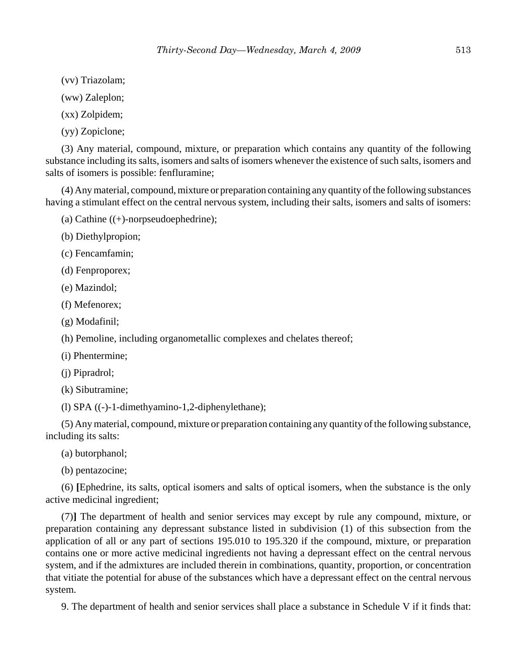(vv) Triazolam;

(ww) Zaleplon;

(xx) Zolpidem;

(yy) Zopiclone;

(3) Any material, compound, mixture, or preparation which contains any quantity of the following substance including its salts, isomers and salts of isomers whenever the existence of such salts, isomers and salts of isomers is possible: fenfluramine;

(4) Any material, compound, mixture or preparation containing any quantity of the following substances having a stimulant effect on the central nervous system, including their salts, isomers and salts of isomers:

(a) Cathine  $((+)$ -norpseudoephedrine);

(b) Diethylpropion;

(c) Fencamfamin;

(d) Fenproporex;

(e) Mazindol;

(f) Mefenorex;

(g) Modafinil;

(h) Pemoline, including organometallic complexes and chelates thereof;

(i) Phentermine;

(j) Pipradrol;

(k) Sibutramine;

(l) SPA ((-)-1-dimethyamino-1,2-diphenylethane);

(5) Any material, compound, mixture or preparation containing any quantity of the following substance, including its salts:

(a) butorphanol;

(b) pentazocine;

(6) **[**Ephedrine, its salts, optical isomers and salts of optical isomers, when the substance is the only active medicinal ingredient;

(7)**]** The department of health and senior services may except by rule any compound, mixture, or preparation containing any depressant substance listed in subdivision (1) of this subsection from the application of all or any part of sections 195.010 to 195.320 if the compound, mixture, or preparation contains one or more active medicinal ingredients not having a depressant effect on the central nervous system, and if the admixtures are included therein in combinations, quantity, proportion, or concentration that vitiate the potential for abuse of the substances which have a depressant effect on the central nervous system.

9. The department of health and senior services shall place a substance in Schedule V if it finds that: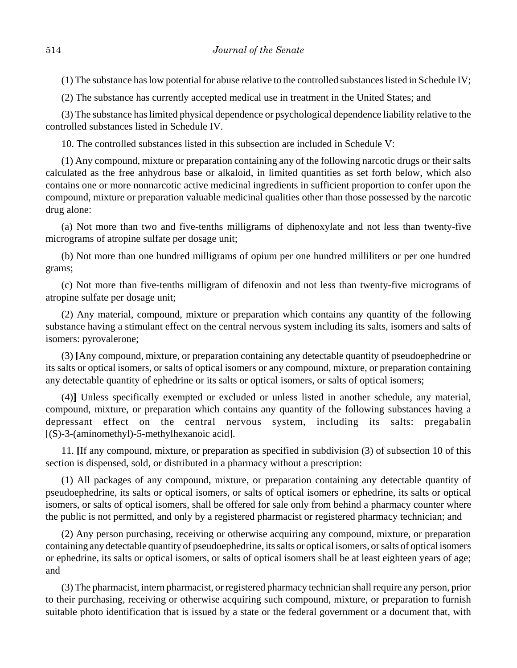(1) The substance has low potential for abuse relative to the controlled substances listed in Schedule IV;

(2) The substance has currently accepted medical use in treatment in the United States; and

(3) The substance has limited physical dependence or psychological dependence liability relative to the controlled substances listed in Schedule IV.

10. The controlled substances listed in this subsection are included in Schedule V:

(1) Any compound, mixture or preparation containing any of the following narcotic drugs or their salts calculated as the free anhydrous base or alkaloid, in limited quantities as set forth below, which also contains one or more nonnarcotic active medicinal ingredients in sufficient proportion to confer upon the compound, mixture or preparation valuable medicinal qualities other than those possessed by the narcotic drug alone:

(a) Not more than two and five-tenths milligrams of diphenoxylate and not less than twenty-five micrograms of atropine sulfate per dosage unit;

(b) Not more than one hundred milligrams of opium per one hundred milliliters or per one hundred grams;

(c) Not more than five-tenths milligram of difenoxin and not less than twenty-five micrograms of atropine sulfate per dosage unit;

(2) Any material, compound, mixture or preparation which contains any quantity of the following substance having a stimulant effect on the central nervous system including its salts, isomers and salts of isomers: pyrovalerone;

(3) **[**Any compound, mixture, or preparation containing any detectable quantity of pseudoephedrine or its salts or optical isomers, or salts of optical isomers or any compound, mixture, or preparation containing any detectable quantity of ephedrine or its salts or optical isomers, or salts of optical isomers;

(4)**]** Unless specifically exempted or excluded or unless listed in another schedule, any material, compound, mixture, or preparation which contains any quantity of the following substances having a depressant effect on the central nervous system, including its salts: pregabalin [(S)-3-(aminomethyl)-5-methylhexanoic acid].

11. **[**If any compound, mixture, or preparation as specified in subdivision (3) of subsection 10 of this section is dispensed, sold, or distributed in a pharmacy without a prescription:

(1) All packages of any compound, mixture, or preparation containing any detectable quantity of pseudoephedrine, its salts or optical isomers, or salts of optical isomers or ephedrine, its salts or optical isomers, or salts of optical isomers, shall be offered for sale only from behind a pharmacy counter where the public is not permitted, and only by a registered pharmacist or registered pharmacy technician; and

(2) Any person purchasing, receiving or otherwise acquiring any compound, mixture, or preparation containing any detectable quantity of pseudoephedrine, its salts or optical isomers, or salts of optical isomers or ephedrine, its salts or optical isomers, or salts of optical isomers shall be at least eighteen years of age; and

(3) The pharmacist, intern pharmacist, or registered pharmacy technician shall require any person, prior to their purchasing, receiving or otherwise acquiring such compound, mixture, or preparation to furnish suitable photo identification that is issued by a state or the federal government or a document that, with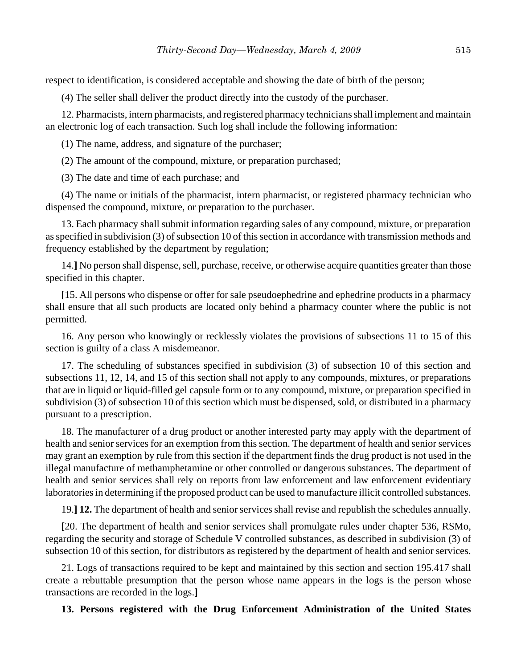respect to identification, is considered acceptable and showing the date of birth of the person;

(4) The seller shall deliver the product directly into the custody of the purchaser.

12. Pharmacists, intern pharmacists, and registered pharmacy technicians shall implement and maintain an electronic log of each transaction. Such log shall include the following information:

(1) The name, address, and signature of the purchaser;

(2) The amount of the compound, mixture, or preparation purchased;

(3) The date and time of each purchase; and

(4) The name or initials of the pharmacist, intern pharmacist, or registered pharmacy technician who dispensed the compound, mixture, or preparation to the purchaser.

13. Each pharmacy shall submit information regarding sales of any compound, mixture, or preparation as specified in subdivision (3) of subsection 10 of this section in accordance with transmission methods and frequency established by the department by regulation;

14.**]** No person shall dispense, sell, purchase, receive, or otherwise acquire quantities greater than those specified in this chapter.

**[**15. All persons who dispense or offer for sale pseudoephedrine and ephedrine products in a pharmacy shall ensure that all such products are located only behind a pharmacy counter where the public is not permitted.

16. Any person who knowingly or recklessly violates the provisions of subsections 11 to 15 of this section is guilty of a class A misdemeanor.

17. The scheduling of substances specified in subdivision (3) of subsection 10 of this section and subsections 11, 12, 14, and 15 of this section shall not apply to any compounds, mixtures, or preparations that are in liquid or liquid-filled gel capsule form or to any compound, mixture, or preparation specified in subdivision (3) of subsection 10 of this section which must be dispensed, sold, or distributed in a pharmacy pursuant to a prescription.

18. The manufacturer of a drug product or another interested party may apply with the department of health and senior services for an exemption from this section. The department of health and senior services may grant an exemption by rule from this section if the department finds the drug product is not used in the illegal manufacture of methamphetamine or other controlled or dangerous substances. The department of health and senior services shall rely on reports from law enforcement and law enforcement evidentiary laboratories in determining if the proposed product can be used to manufacture illicit controlled substances.

19.**] 12.** The department of health and senior services shall revise and republish the schedules annually.

**[**20. The department of health and senior services shall promulgate rules under chapter 536, RSMo, regarding the security and storage of Schedule V controlled substances, as described in subdivision (3) of subsection 10 of this section, for distributors as registered by the department of health and senior services.

21. Logs of transactions required to be kept and maintained by this section and section 195.417 shall create a rebuttable presumption that the person whose name appears in the logs is the person whose transactions are recorded in the logs.**]**

**13. Persons registered with the Drug Enforcement Administration of the United States**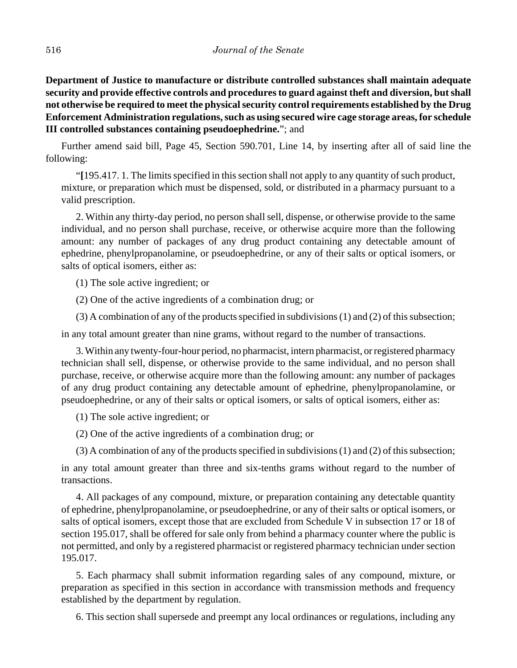**Department of Justice to manufacture or distribute controlled substances shall maintain adequate security and provide effective controls and procedures to guard against theft and diversion, but shall not otherwise be required to meet the physical security control requirements established by the Drug Enforcement Administration regulations, such as using secured wire cage storage areas, for schedule III controlled substances containing pseudoephedrine.**"; and

Further amend said bill, Page 45, Section 590.701, Line 14, by inserting after all of said line the following:

"**[**195.417. 1. The limits specified in this section shall not apply to any quantity of such product, mixture, or preparation which must be dispensed, sold, or distributed in a pharmacy pursuant to a valid prescription.

2. Within any thirty-day period, no person shall sell, dispense, or otherwise provide to the same individual, and no person shall purchase, receive, or otherwise acquire more than the following amount: any number of packages of any drug product containing any detectable amount of ephedrine, phenylpropanolamine, or pseudoephedrine, or any of their salts or optical isomers, or salts of optical isomers, either as:

(1) The sole active ingredient; or

(2) One of the active ingredients of a combination drug; or

(3) A combination of any of the products specified in subdivisions (1) and (2) of this subsection;

in any total amount greater than nine grams, without regard to the number of transactions.

3. Within any twenty-four-hour period, no pharmacist, intern pharmacist, or registered pharmacy technician shall sell, dispense, or otherwise provide to the same individual, and no person shall purchase, receive, or otherwise acquire more than the following amount: any number of packages of any drug product containing any detectable amount of ephedrine, phenylpropanolamine, or pseudoephedrine, or any of their salts or optical isomers, or salts of optical isomers, either as:

(1) The sole active ingredient; or

(2) One of the active ingredients of a combination drug; or

(3) A combination of any of the products specified in subdivisions (1) and (2) of this subsection;

in any total amount greater than three and six-tenths grams without regard to the number of transactions.

4. All packages of any compound, mixture, or preparation containing any detectable quantity of ephedrine, phenylpropanolamine, or pseudoephedrine, or any of their salts or optical isomers, or salts of optical isomers, except those that are excluded from Schedule V in subsection 17 or 18 of section 195.017, shall be offered for sale only from behind a pharmacy counter where the public is not permitted, and only by a registered pharmacist or registered pharmacy technician under section 195.017.

5. Each pharmacy shall submit information regarding sales of any compound, mixture, or preparation as specified in this section in accordance with transmission methods and frequency established by the department by regulation.

6. This section shall supersede and preempt any local ordinances or regulations, including any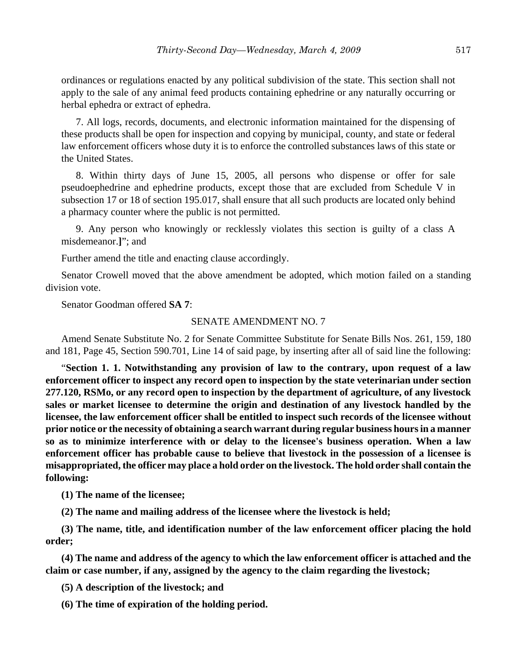ordinances or regulations enacted by any political subdivision of the state. This section shall not apply to the sale of any animal feed products containing ephedrine or any naturally occurring or herbal ephedra or extract of ephedra.

7. All logs, records, documents, and electronic information maintained for the dispensing of these products shall be open for inspection and copying by municipal, county, and state or federal law enforcement officers whose duty it is to enforce the controlled substances laws of this state or the United States.

8. Within thirty days of June 15, 2005, all persons who dispense or offer for sale pseudoephedrine and ephedrine products, except those that are excluded from Schedule V in subsection 17 or 18 of section 195.017, shall ensure that all such products are located only behind a pharmacy counter where the public is not permitted.

9. Any person who knowingly or recklessly violates this section is guilty of a class A misdemeanor.**]**"; and

Further amend the title and enacting clause accordingly.

Senator Crowell moved that the above amendment be adopted, which motion failed on a standing division vote.

Senator Goodman offered **SA 7**:

#### SENATE AMENDMENT NO. 7

Amend Senate Substitute No. 2 for Senate Committee Substitute for Senate Bills Nos. 261, 159, 180 and 181, Page 45, Section 590.701, Line 14 of said page, by inserting after all of said line the following:

"**Section 1. 1. Notwithstanding any provision of law to the contrary, upon request of a law enforcement officer to inspect any record open to inspection by the state veterinarian under section 277.120, RSMo, or any record open to inspection by the department of agriculture, of any livestock sales or market licensee to determine the origin and destination of any livestock handled by the licensee, the law enforcement officer shall be entitled to inspect such records of the licensee without prior notice or the necessity of obtaining a search warrant during regular business hours in a manner so as to minimize interference with or delay to the licensee's business operation. When a law enforcement officer has probable cause to believe that livestock in the possession of a licensee is misappropriated, the officer may place a hold order on the livestock. The hold order shall contain the following:**

**(1) The name of the licensee;**

**(2) The name and mailing address of the licensee where the livestock is held;**

**(3) The name, title, and identification number of the law enforcement officer placing the hold order;**

**(4) The name and address of the agency to which the law enforcement officer is attached and the claim or case number, if any, assigned by the agency to the claim regarding the livestock;**

**(5) A description of the livestock; and**

**(6) The time of expiration of the holding period.**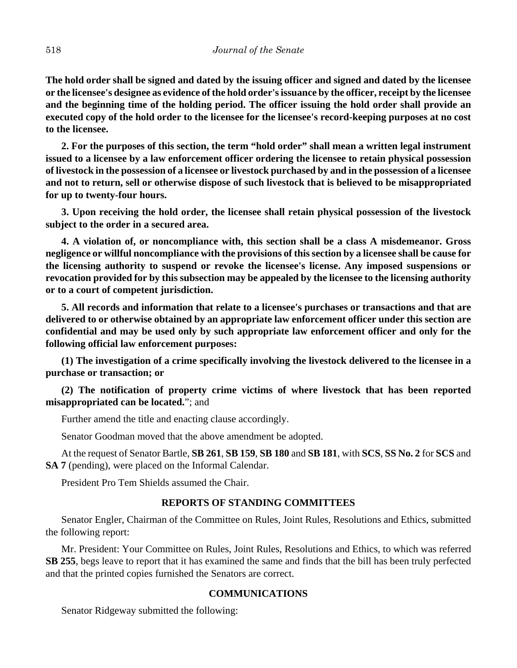**The hold order shall be signed and dated by the issuing officer and signed and dated by the licensee or the licensee's designee as evidence of the hold order's issuance by the officer, receipt by the licensee and the beginning time of the holding period. The officer issuing the hold order shall provide an executed copy of the hold order to the licensee for the licensee's record-keeping purposes at no cost to the licensee.**

**2. For the purposes of this section, the term "hold order" shall mean a written legal instrument issued to a licensee by a law enforcement officer ordering the licensee to retain physical possession of livestock in the possession of a licensee or livestock purchased by and in the possession of a licensee and not to return, sell or otherwise dispose of such livestock that is believed to be misappropriated for up to twenty-four hours.**

**3. Upon receiving the hold order, the licensee shall retain physical possession of the livestock subject to the order in a secured area.** 

**4. A violation of, or noncompliance with, this section shall be a class A misdemeanor. Gross negligence or willful noncompliance with the provisions of this section by a licensee shall be cause for the licensing authority to suspend or revoke the licensee's license. Any imposed suspensions or revocation provided for by this subsection may be appealed by the licensee to the licensing authority or to a court of competent jurisdiction.**

**5. All records and information that relate to a licensee's purchases or transactions and that are delivered to or otherwise obtained by an appropriate law enforcement officer under this section are confidential and may be used only by such appropriate law enforcement officer and only for the following official law enforcement purposes:**

**(1) The investigation of a crime specifically involving the livestock delivered to the licensee in a purchase or transaction; or**

**(2) The notification of property crime victims of where livestock that has been reported misappropriated can be located.**"; and

Further amend the title and enacting clause accordingly.

Senator Goodman moved that the above amendment be adopted.

At the request of Senator Bartle, **SB 261**, **SB 159**, **SB 180** and **SB 181**, with **SCS**, **SS No. 2** for **SCS** and **SA 7** (pending), were placed on the Informal Calendar.

President Pro Tem Shields assumed the Chair.

#### **REPORTS OF STANDING COMMITTEES**

Senator Engler, Chairman of the Committee on Rules, Joint Rules, Resolutions and Ethics, submitted the following report:

Mr. President: Your Committee on Rules, Joint Rules, Resolutions and Ethics, to which was referred **SB 255**, begs leave to report that it has examined the same and finds that the bill has been truly perfected and that the printed copies furnished the Senators are correct.

#### **COMMUNICATIONS**

Senator Ridgeway submitted the following: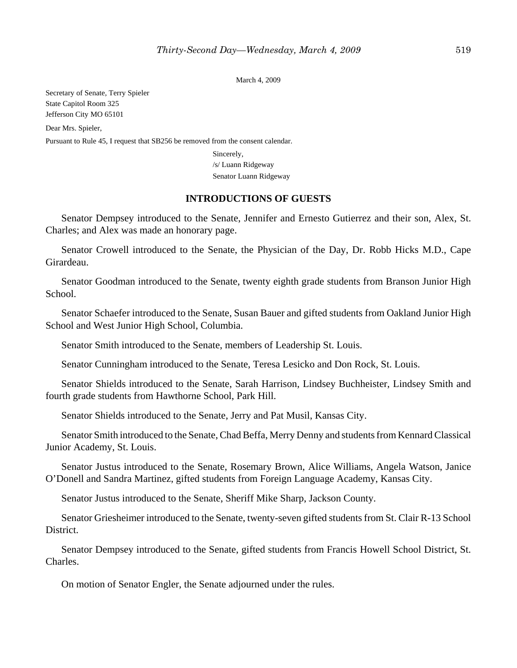March 4, 2009

Secretary of Senate, Terry Spieler State Capitol Room 325 Jefferson City MO 65101 Dear Mrs. Spieler, Pursuant to Rule 45, I request that SB256 be removed from the consent calendar. Sincerely,

/s/ Luann Ridgeway Senator Luann Ridgeway

#### **INTRODUCTIONS OF GUESTS**

Senator Dempsey introduced to the Senate, Jennifer and Ernesto Gutierrez and their son, Alex, St. Charles; and Alex was made an honorary page.

Senator Crowell introduced to the Senate, the Physician of the Day, Dr. Robb Hicks M.D., Cape Girardeau.

Senator Goodman introduced to the Senate, twenty eighth grade students from Branson Junior High School.

Senator Schaefer introduced to the Senate, Susan Bauer and gifted students from Oakland Junior High School and West Junior High School, Columbia.

Senator Smith introduced to the Senate, members of Leadership St. Louis.

Senator Cunningham introduced to the Senate, Teresa Lesicko and Don Rock, St. Louis.

Senator Shields introduced to the Senate, Sarah Harrison, Lindsey Buchheister, Lindsey Smith and fourth grade students from Hawthorne School, Park Hill.

Senator Shields introduced to the Senate, Jerry and Pat Musil, Kansas City.

Senator Smith introduced to the Senate, Chad Beffa, Merry Denny and students from Kennard Classical Junior Academy, St. Louis.

Senator Justus introduced to the Senate, Rosemary Brown, Alice Williams, Angela Watson, Janice O'Donell and Sandra Martinez, gifted students from Foreign Language Academy, Kansas City.

Senator Justus introduced to the Senate, Sheriff Mike Sharp, Jackson County.

Senator Griesheimer introduced to the Senate, twenty-seven gifted students from St. Clair R-13 School District.

Senator Dempsey introduced to the Senate, gifted students from Francis Howell School District, St. Charles.

On motion of Senator Engler, the Senate adjourned under the rules.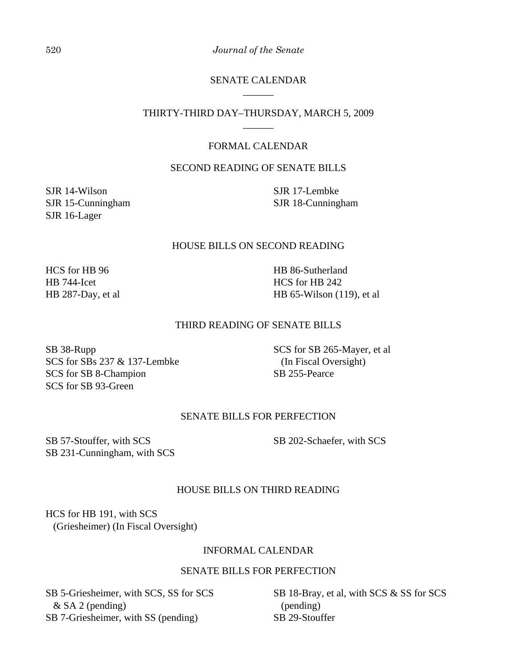520 *Journal of the Senate*

#### SENATE CALENDAR \_\_\_\_\_\_

#### THIRTY-THIRD DAY–THURSDAY, MARCH 5, 2009 \_\_\_\_\_\_

# FORMAL CALENDAR

# SECOND READING OF SENATE BILLS

SJR 14-Wilson SJR 15-Cunningham SJR 16-Lager

SJR 17-Lembke SJR 18-Cunningham

#### HOUSE BILLS ON SECOND READING

HCS for HB 96 HB 744-Icet HB 287-Day, et al HB 86-Sutherland HCS for HB 242 HB 65-Wilson (119), et al

#### THIRD READING OF SENATE BILLS

SB 38-Rupp SCS for SBs 237 & 137-Lembke SCS for SB 8-Champion SCS for SB 93-Green

SCS for SB 265-Mayer, et al (In Fiscal Oversight) SB 255-Pearce

#### SENATE BILLS FOR PERFECTION

SB 57-Stouffer, with SCS SB 231-Cunningham, with SCS SB 202-Schaefer, with SCS

# HOUSE BILLS ON THIRD READING

HCS for HB 191, with SCS (Griesheimer) (In Fiscal Oversight)

#### INFORMAL CALENDAR

# SENATE BILLS FOR PERFECTION

SB 5-Griesheimer, with SCS, SS for SCS & SA 2 (pending) SB 7-Griesheimer, with SS (pending)

SB 18-Bray, et al, with SCS & SS for SCS (pending) SB 29-Stouffer